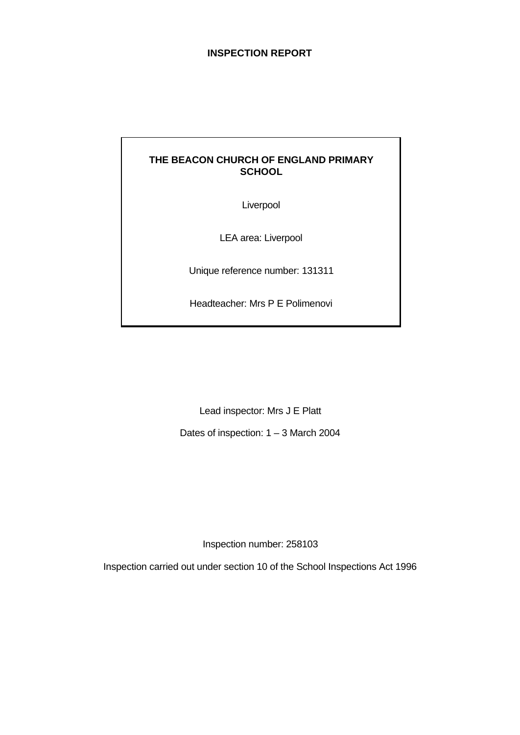# **INSPECTION REPORT**

# **THE BEACON CHURCH OF ENGLAND PRIMARY SCHOOL**

Liverpool

LEA area: Liverpool

Unique reference number: 131311

Headteacher: Mrs P E Polimenovi

Lead inspector: Mrs J E Platt

Dates of inspection: 1 – 3 March 2004

Inspection number: 258103

Inspection carried out under section 10 of the School Inspections Act 1996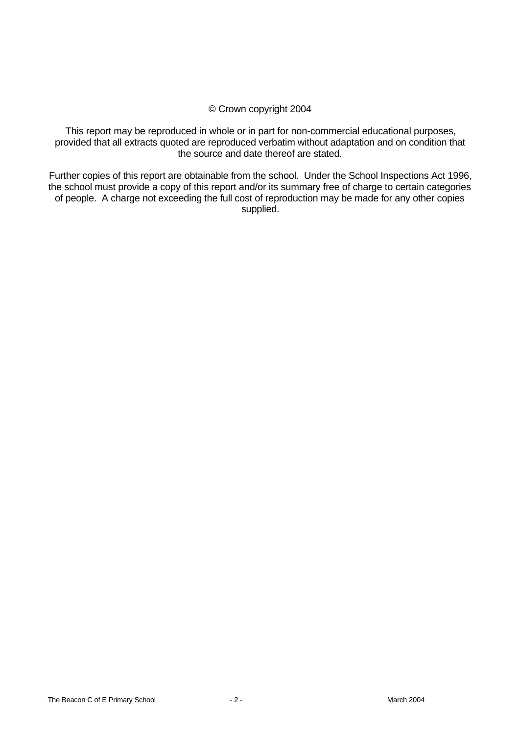## © Crown copyright 2004

This report may be reproduced in whole or in part for non-commercial educational purposes, provided that all extracts quoted are reproduced verbatim without adaptation and on condition that the source and date thereof are stated.

Further copies of this report are obtainable from the school. Under the School Inspections Act 1996, the school must provide a copy of this report and/or its summary free of charge to certain categories of people. A charge not exceeding the full cost of reproduction may be made for any other copies supplied.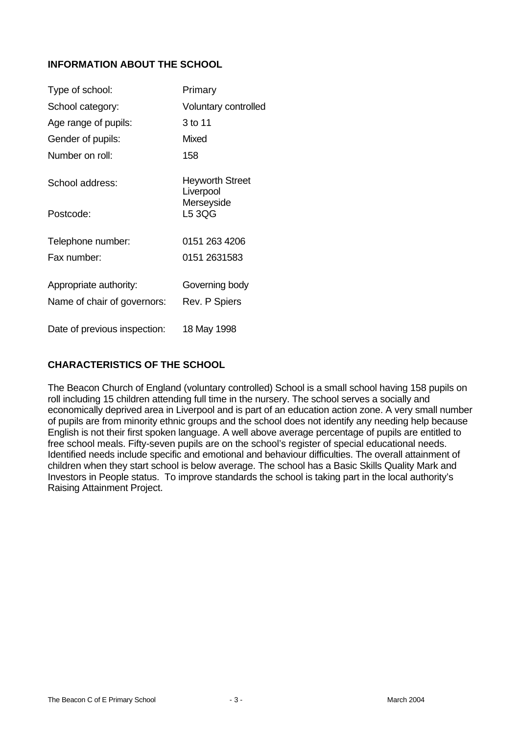# **INFORMATION ABOUT THE SCHOOL**

| Type of school:                                       | Primary                             |
|-------------------------------------------------------|-------------------------------------|
| School category:                                      | Voluntary controlled                |
| Age range of pupils:                                  | 3 to 11                             |
| Gender of pupils:                                     | Mixed                               |
| Number on roll:                                       | 158                                 |
| School address:                                       | <b>Heyworth Street</b><br>Liverpool |
| Postcode:                                             | Merseyside<br>L5 3QG                |
| Telephone number:                                     | 0151 263 4206                       |
| Fax number:                                           | 0151 2631583                        |
| Appropriate authority:<br>Name of chair of governors: | Governing body<br>Rev. P Spiers     |
| Date of previous inspection:                          | 18 May 1998                         |

# **CHARACTERISTICS OF THE SCHOOL**

The Beacon Church of England (voluntary controlled) School is a small school having 158 pupils on roll including 15 children attending full time in the nursery. The school serves a socially and economically deprived area in Liverpool and is part of an education action zone. A very small number of pupils are from minority ethnic groups and the school does not identify any needing help because English is not their first spoken language. A well above average percentage of pupils are entitled to free school meals. Fifty-seven pupils are on the school's register of special educational needs. Identified needs include specific and emotional and behaviour difficulties. The overall attainment of children when they start school is below average. The school has a Basic Skills Quality Mark and Investors in People status. To improve standards the school is taking part in the local authority's Raising Attainment Project.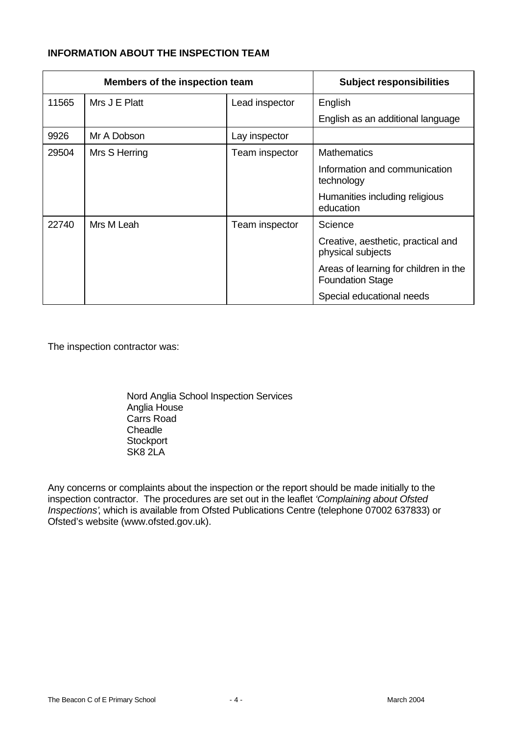# **INFORMATION ABOUT THE INSPECTION TEAM**

|       | Members of the inspection team |                | <b>Subject responsibilities</b>                                  |
|-------|--------------------------------|----------------|------------------------------------------------------------------|
| 11565 | Mrs J E Platt                  | Lead inspector | English                                                          |
|       |                                |                | English as an additional language                                |
| 9926  | Mr A Dobson                    | Lay inspector  |                                                                  |
| 29504 | Mrs S Herring                  | Team inspector | <b>Mathematics</b>                                               |
|       |                                |                | Information and communication<br>technology                      |
|       |                                |                | Humanities including religious<br>education                      |
| 22740 | Mrs M Leah                     | Team inspector | Science                                                          |
|       |                                |                | Creative, aesthetic, practical and<br>physical subjects          |
|       |                                |                | Areas of learning for children in the<br><b>Foundation Stage</b> |
|       |                                |                | Special educational needs                                        |

The inspection contractor was:

Nord Anglia School Inspection Services Anglia House Carrs Road **Cheadle Stockport** SK8 2LA

Any concerns or complaints about the inspection or the report should be made initially to the inspection contractor. The procedures are set out in the leaflet *'Complaining about Ofsted Inspections'*, which is available from Ofsted Publications Centre (telephone 07002 637833) or Ofsted's website (www.ofsted.gov.uk).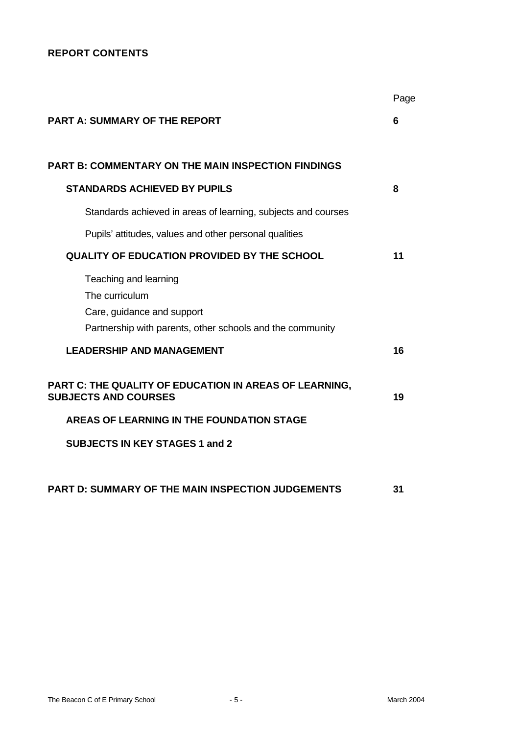# **REPORT CONTENTS**

|                                                                                       | Page |
|---------------------------------------------------------------------------------------|------|
| <b>PART A: SUMMARY OF THE REPORT</b>                                                  | 6    |
|                                                                                       |      |
| <b>PART B: COMMENTARY ON THE MAIN INSPECTION FINDINGS</b>                             |      |
| <b>STANDARDS ACHIEVED BY PUPILS</b>                                                   | 8    |
| Standards achieved in areas of learning, subjects and courses                         |      |
| Pupils' attitudes, values and other personal qualities                                |      |
| <b>QUALITY OF EDUCATION PROVIDED BY THE SCHOOL</b>                                    | 11   |
| Teaching and learning                                                                 |      |
| The curriculum                                                                        |      |
| Care, guidance and support                                                            |      |
| Partnership with parents, other schools and the community                             |      |
| <b>LEADERSHIP AND MANAGEMENT</b>                                                      | 16   |
| PART C: THE QUALITY OF EDUCATION IN AREAS OF LEARNING,<br><b>SUBJECTS AND COURSES</b> | 19   |
| AREAS OF LEARNING IN THE FOUNDATION STAGE                                             |      |
| <b>SUBJECTS IN KEY STAGES 1 and 2</b>                                                 |      |
| PART D: SUMMARY OF THE MAIN INSPECTION JUDGEMENTS                                     | 31   |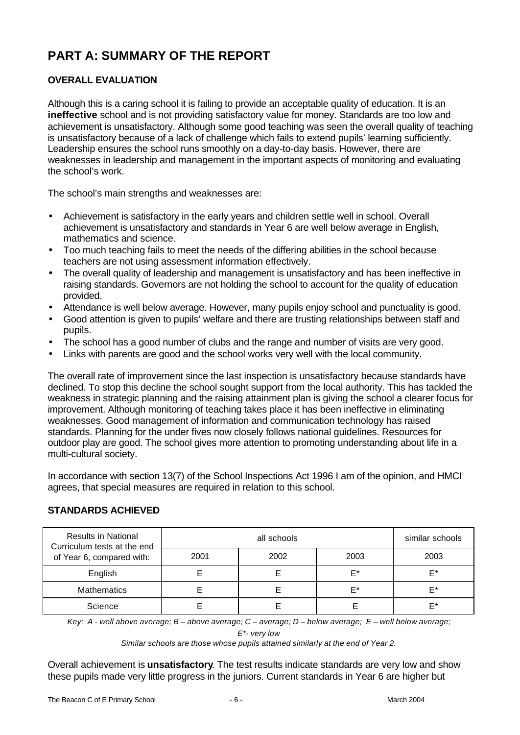# **PART A: SUMMARY OF THE REPORT**

# **OVERALL EVALUATION**

Although this is a caring school it is failing to provide an acceptable quality of education. It is an **ineffective** school and is not providing satisfactory value for money. Standards are too low and achievement is unsatisfactory. Although some good teaching was seen the overall quality of teaching is unsatisfactory because of a lack of challenge which fails to extend pupils' learning sufficiently. Leadership ensures the school runs smoothly on a day-to-day basis. However, there are weaknesses in leadership and management in the important aspects of monitoring and evaluating the school's work.

The school's main strengths and weaknesses are:

- Achievement is satisfactory in the early years and children settle well in school. Overall achievement is unsatisfactory and standards in Year 6 are well below average in English, mathematics and science.
- Too much teaching fails to meet the needs of the differing abilities in the school because teachers are not using assessment information effectively.
- The overall quality of leadership and management is unsatisfactory and has been ineffective in raising standards. Governors are not holding the school to account for the quality of education provided.
- Attendance is well below average. However, many pupils enjoy school and punctuality is good.
- Good attention is given to pupils' welfare and there are trusting relationships between staff and pupils.
- The school has a good number of clubs and the range and number of visits are very good.
- Links with parents are good and the school works very well with the local community.

The overall rate of improvement since the last inspection is unsatisfactory because standards have declined. To stop this decline the school sought support from the local authority. This has tackled the weakness in strategic planning and the raising attainment plan is giving the school a clearer focus for improvement. Although monitoring of teaching takes place it has been ineffective in eliminating weaknesses. Good management of information and communication technology has raised standards. Planning for the under fives now closely follows national guidelines. Resources for outdoor play are good. The school gives more attention to promoting understanding about life in a multi-cultural society.

In accordance with section 13(7) of the School Inspections Act 1996 I am of the opinion, and HMCI agrees, that special measures are required in relation to this school.

| <b>Results in National</b><br>Curriculum tests at the end |      | similar schools |      |      |
|-----------------------------------------------------------|------|-----------------|------|------|
| of Year 6, compared with:                                 | 2001 | 2002            | 2003 | 2003 |
| English                                                   |      |                 | F*   | F*   |
| <b>Mathematics</b>                                        |      |                 | F*   | F*   |
| Science                                                   |      |                 |      | F*   |

# **STANDARDS ACHIEVED**

*Key: A - well above average; B – above average; C – average; D – below average; E – well below average;*

*E\*- very low*

*Similar schools are those whose pupils attained similarly at the end of Year 2.*

Overall achievement is **unsatisfactory**. The test results indicate standards are very low and show these pupils made very little progress in the juniors. Current standards in Year 6 are higher but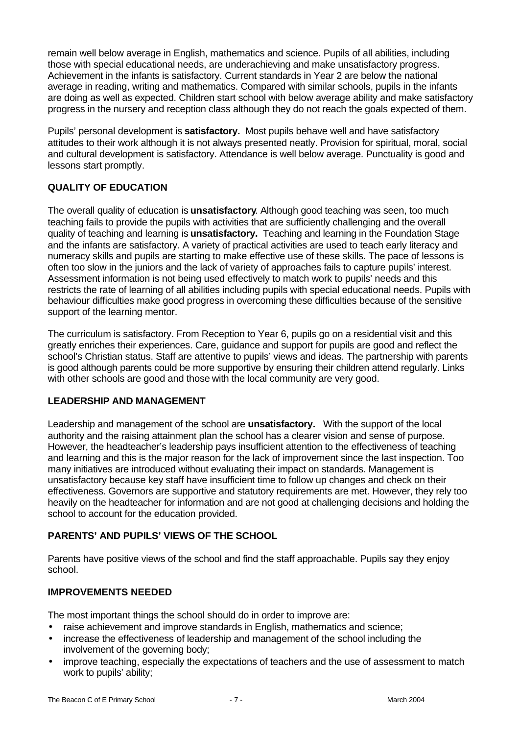remain well below average in English, mathematics and science. Pupils of all abilities, including those with special educational needs, are underachieving and make unsatisfactory progress. Achievement in the infants is satisfactory. Current standards in Year 2 are below the national average in reading, writing and mathematics. Compared with similar schools, pupils in the infants are doing as well as expected. Children start school with below average ability and make satisfactory progress in the nursery and reception class although they do not reach the goals expected of them.

Pupils' personal development is **satisfactory.** Most pupils behave well and have satisfactory attitudes to their work although it is not always presented neatly. Provision for spiritual, moral, social and cultural development is satisfactory. Attendance is well below average. Punctuality is good and lessons start promptly.

# **QUALITY OF EDUCATION**

The overall quality of education is **unsatisfactory**. Although good teaching was seen, too much teaching fails to provide the pupils with activities that are sufficiently challenging and the overall quality of teaching and learning is **unsatisfactory.** Teaching and learning in the Foundation Stage and the infants are satisfactory. A variety of practical activities are used to teach early literacy and numeracy skills and pupils are starting to make effective use of these skills. The pace of lessons is often too slow in the juniors and the lack of variety of approaches fails to capture pupils' interest. Assessment information is not being used effectively to match work to pupils' needs and this restricts the rate of learning of all abilities including pupils with special educational needs. Pupils with behaviour difficulties make good progress in overcoming these difficulties because of the sensitive support of the learning mentor.

The curriculum is satisfactory. From Reception to Year 6, pupils go on a residential visit and this greatly enriches their experiences. Care, guidance and support for pupils are good and reflect the school's Christian status. Staff are attentive to pupils' views and ideas. The partnership with parents is good although parents could be more supportive by ensuring their children attend regularly. Links with other schools are good and those with the local community are very good.

# **LEADERSHIP AND MANAGEMENT**

Leadership and management of the school are **unsatisfactory.** With the support of the local authority and the raising attainment plan the school has a clearer vision and sense of purpose. However, the headteacher's leadership pays insufficient attention to the effectiveness of teaching and learning and this is the major reason for the lack of improvement since the last inspection. Too many initiatives are introduced without evaluating their impact on standards. Management is unsatisfactory because key staff have insufficient time to follow up changes and check on their effectiveness. Governors are supportive and statutory requirements are met. However, they rely too heavily on the headteacher for information and are not good at challenging decisions and holding the school to account for the education provided.

# **PARENTS' AND PUPILS' VIEWS OF THE SCHOOL**

Parents have positive views of the school and find the staff approachable. Pupils say they enjoy school.

## **IMPROVEMENTS NEEDED**

The most important things the school should do in order to improve are:

- raise achievement and improve standards in English, mathematics and science:
- increase the effectiveness of leadership and management of the school including the involvement of the governing body;
- improve teaching, especially the expectations of teachers and the use of assessment to match work to pupils' ability;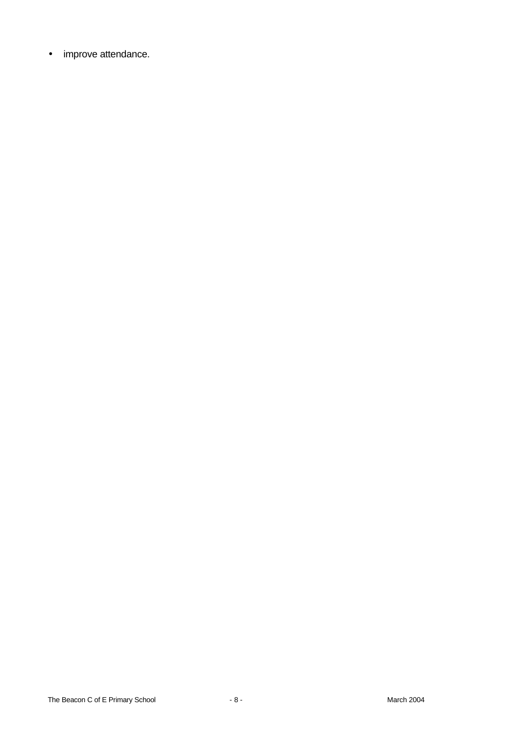• improve attendance.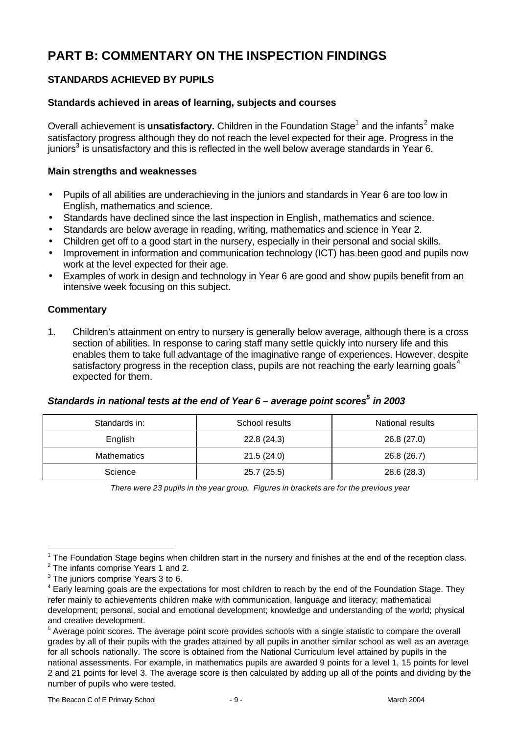# **PART B: COMMENTARY ON THE INSPECTION FINDINGS**

# **STANDARDS ACHIEVED BY PUPILS**

## **Standards achieved in areas of learning, subjects and courses**

Overall achievement is **unsatisfactory.** Children in the Foundation Stage<sup>1</sup> and the infants<sup>2</sup> make satisfactory progress although they do not reach the level expected for their age. Progress in the juniors<sup>3</sup> is unsatisfactory and this is reflected in the well below average standards in Year 6.

## **Main strengths and weaknesses**

- Pupils of all abilities are underachieving in the juniors and standards in Year 6 are too low in English, mathematics and science.
- Standards have declined since the last inspection in English, mathematics and science.
- Standards are below average in reading, writing, mathematics and science in Year 2.
- Children get off to a good start in the nursery, especially in their personal and social skills.
- Improvement in information and communication technology (ICT) has been good and pupils now work at the level expected for their age.
- Examples of work in design and technology in Year 6 are good and show pupils benefit from an intensive week focusing on this subject.

## **Commentary**

1. Children's attainment on entry to nursery is generally below average, although there is a cross section of abilities. In response to caring staff many settle quickly into nursery life and this enables them to take full advantage of the imaginative range of experiences. However, despite satisfactory progress in the reception class, pupils are not reaching the early learning goals<sup>4</sup> expected for them.

# *Standards in national tests at the end of Year 6 – average point scores<sup>5</sup> in 2003*

| Standards in:      | School results | National results |
|--------------------|----------------|------------------|
| English            | 22.8(24.3)     | 26.8 (27.0)      |
| <b>Mathematics</b> | 21.5(24.0)     | 26.8 (26.7)      |
| Science            | 25.7 (25.5)    | 28.6 (28.3)      |

*There were 23 pupils in the year group. Figures in brackets are for the previous year*

l

 $1$  The Foundation Stage begins when children start in the nursery and finishes at the end of the reception class.

<sup>&</sup>lt;sup>2</sup> The infants comprise Years 1 and 2.

 $3$  The juniors comprise Years 3 to 6.

<sup>&</sup>lt;sup>4</sup> Early learning goals are the expectations for most children to reach by the end of the Foundation Stage. They refer mainly to achievements children make with communication, language and literacy; mathematical development; personal, social and emotional development; knowledge and understanding of the world; physical and creative development.

<sup>&</sup>lt;sup>5</sup> Average point scores. The average point score provides schools with a single statistic to compare the overall grades by all of their pupils with the grades attained by all pupils in another similar school as well as an average for all schools nationally. The score is obtained from the National Curriculum level attained by pupils in the national assessments. For example, in mathematics pupils are awarded 9 points for a level 1, 15 points for level 2 and 21 points for level 3. The average score is then calculated by adding up all of the points and dividing by the number of pupils who were tested.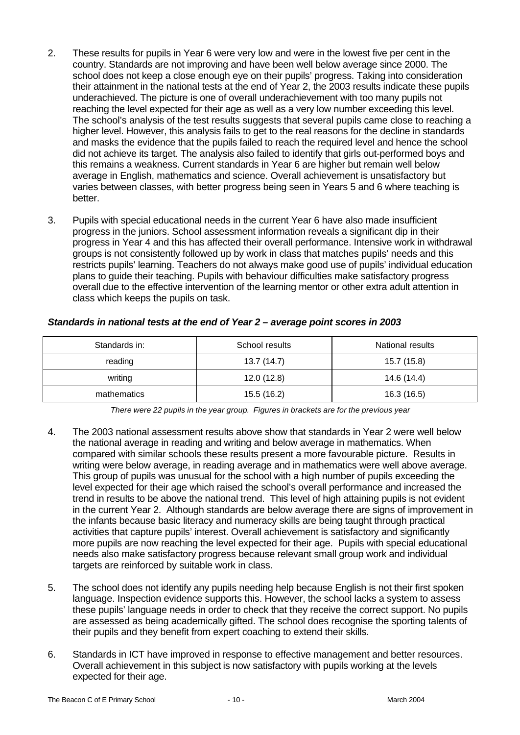- 2. These results for pupils in Year 6 were very low and were in the lowest five per cent in the country. Standards are not improving and have been well below average since 2000. The school does not keep a close enough eye on their pupils' progress. Taking into consideration their attainment in the national tests at the end of Year 2, the 2003 results indicate these pupils underachieved. The picture is one of overall underachievement with too many pupils not reaching the level expected for their age as well as a very low number exceeding this level. The school's analysis of the test results suggests that several pupils came close to reaching a higher level. However, this analysis fails to get to the real reasons for the decline in standards and masks the evidence that the pupils failed to reach the required level and hence the school did not achieve its target. The analysis also failed to identify that girls out-performed boys and this remains a weakness. Current standards in Year 6 are higher but remain well below average in English, mathematics and science. Overall achievement is unsatisfactory but varies between classes, with better progress being seen in Years 5 and 6 where teaching is better.
- 3. Pupils with special educational needs in the current Year 6 have also made insufficient progress in the juniors. School assessment information reveals a significant dip in their progress in Year 4 and this has affected their overall performance. Intensive work in withdrawal groups is not consistently followed up by work in class that matches pupils' needs and this restricts pupils' learning. Teachers do not always make good use of pupils' individual education plans to guide their teaching. Pupils with behaviour difficulties make satisfactory progress overall due to the effective intervention of the learning mentor or other extra adult attention in class which keeps the pupils on task.

| Standards in: | School results | National results |
|---------------|----------------|------------------|
| reading       | 13.7(14.7)     | 15.7 (15.8)      |
| writing       | 12.0(12.8)     | 14.6 (14.4)      |
| mathematics   | 15.5 (16.2)    | 16.3 (16.5)      |

## *Standards in national tests at the end of Year 2 – average point scores in 2003*

*There were 22 pupils in the year group. Figures in brackets are for the previous year*

- 4. The 2003 national assessment results above show that standards in Year 2 were well below the national average in reading and writing and below average in mathematics. When compared with similar schools these results present a more favourable picture. Results in writing were below average, in reading average and in mathematics were well above average. This group of pupils was unusual for the school with a high number of pupils exceeding the level expected for their age which raised the school's overall performance and increased the trend in results to be above the national trend. This level of high attaining pupils is not evident in the current Year 2. Although standards are below average there are signs of improvement in the infants because basic literacy and numeracy skills are being taught through practical activities that capture pupils' interest. Overall achievement is satisfactory and significantly more pupils are now reaching the level expected for their age. Pupils with special educational needs also make satisfactory progress because relevant small group work and individual targets are reinforced by suitable work in class.
- 5. The school does not identify any pupils needing help because English is not their first spoken language. Inspection evidence supports this. However, the school lacks a system to assess these pupils' language needs in order to check that they receive the correct support. No pupils are assessed as being academically gifted. The school does recognise the sporting talents of their pupils and they benefit from expert coaching to extend their skills.
- 6. Standards in ICT have improved in response to effective management and better resources. Overall achievement in this subject is now satisfactory with pupils working at the levels expected for their age.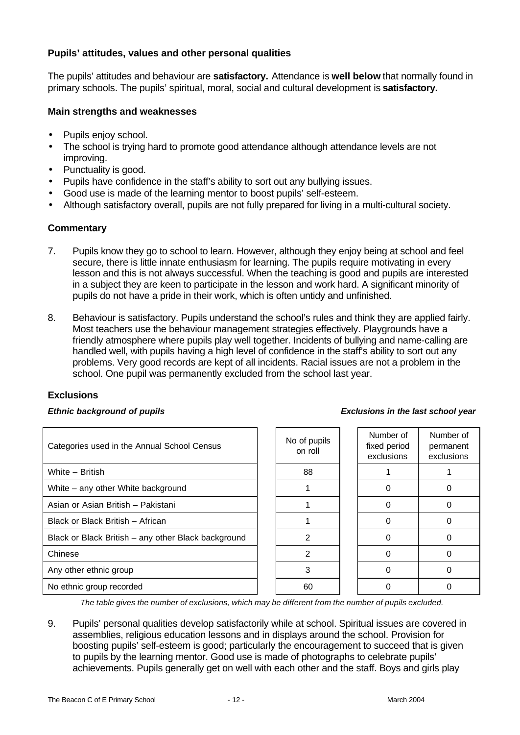## **Pupils' attitudes, values and other personal qualities**

The pupils' attitudes and behaviour are **satisfactory.** Attendance is **well below** that normally found in primary schools. The pupils' spiritual, moral, social and cultural development is **satisfactory.**

## **Main strengths and weaknesses**

- Pupils enjoy school.
- The school is trying hard to promote good attendance although attendance levels are not improving.
- Punctuality is good.
- Pupils have confidence in the staff's ability to sort out any bullying issues.
- Good use is made of the learning mentor to boost pupils' self-esteem.
- Although satisfactory overall, pupils are not fully prepared for living in a multi-cultural society.

## **Commentary**

- 7. Pupils know they go to school to learn. However, although they enjoy being at school and feel secure, there is little innate enthusiasm for learning. The pupils require motivating in every lesson and this is not always successful. When the teaching is good and pupils are interested in a subject they are keen to participate in the lesson and work hard. A significant minority of pupils do not have a pride in their work, which is often untidy and unfinished.
- 8. Behaviour is satisfactory. Pupils understand the school's rules and think they are applied fairly. Most teachers use the behaviour management strategies effectively. Playgrounds have a friendly atmosphere where pupils play well together. Incidents of bullying and name-calling are handled well, with pupils having a high level of confidence in the staff's ability to sort out any problems. Very good records are kept of all incidents. Racial issues are not a problem in the school. One pupil was permanently excluded from the school last year.

## **Exclusions**

#### *Ethnic background of pupils Exclusions in the last school year*

| Categories used in the Annual School Census         | No of pupils<br>on roll | Number of<br>fixed period<br>exclusions | Numb<br>perma<br>exclus |
|-----------------------------------------------------|-------------------------|-----------------------------------------|-------------------------|
| White - British                                     | 88                      |                                         |                         |
| White – any other White background                  |                         |                                         | $\mathcal{L}$           |
| Asian or Asian British - Pakistani                  |                         |                                         | 0                       |
| Black or Black British - African                    |                         | O                                       | 0                       |
| Black or Black British - any other Black background | $\overline{2}$          |                                         | 0                       |
| Chinese                                             | $\overline{2}$          |                                         | 0                       |
| Any other ethnic group                              | 3                       | O                                       | 0                       |
| No ethnic group recorded                            | 60                      |                                         |                         |

| lo of pupils<br>on roll | Number of<br>fixed period<br>exclusions |  |
|-------------------------|-----------------------------------------|--|
| 88                      |                                         |  |
|                         | 0                                       |  |
|                         | 0                                       |  |
|                         | 0                                       |  |
| 2                       | ი                                       |  |
| 2                       | ი                                       |  |
| 3                       | ი                                       |  |
| 60                      |                                         |  |

#### Chinese 2 0 0

*The table gives the number of exclusions, which may be different from the number of pupils excluded.*

9. Pupils' personal qualities develop satisfactorily while at school. Spiritual issues are covered in assemblies, religious education lessons and in displays around the school. Provision for boosting pupils' self-esteem is good; particularly the encouragement to succeed that is given to pupils by the learning mentor. Good use is made of photographs to celebrate pupils' achievements. Pupils generally get on well with each other and the staff. Boys and girls play

Number of permanent exclusions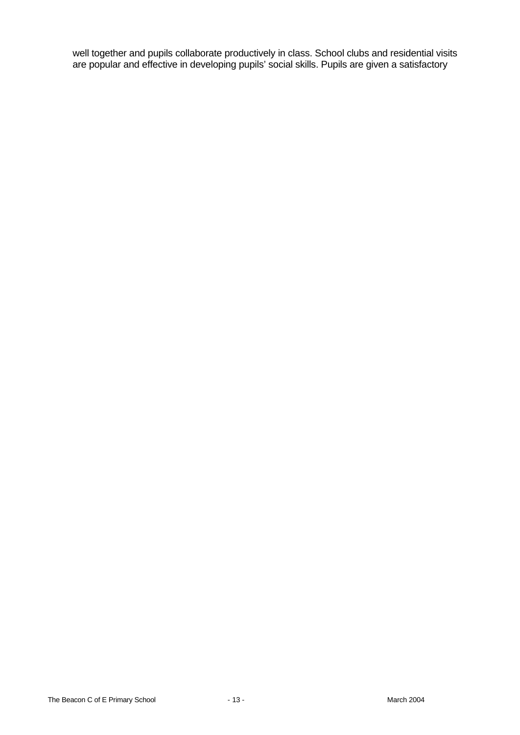well together and pupils collaborate productively in class. School clubs and residential visits are popular and effective in developing pupils' social skills. Pupils are given a satisfactory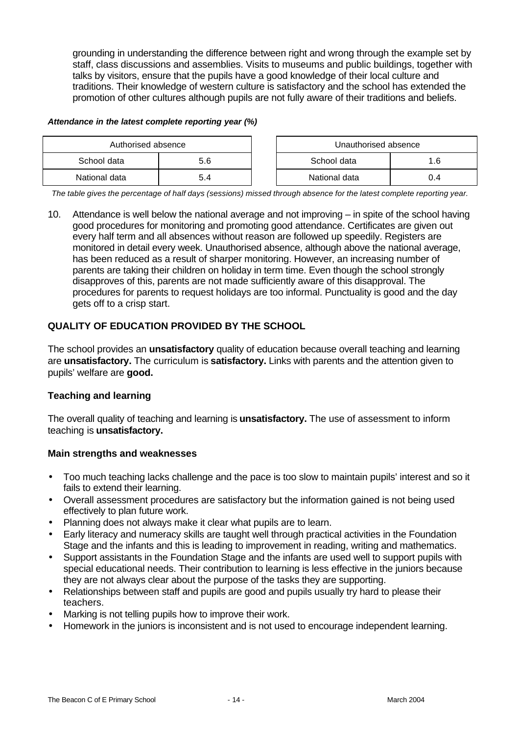grounding in understanding the difference between right and wrong through the example set by staff, class discussions and assemblies. Visits to museums and public buildings, together with talks by visitors, ensure that the pupils have a good knowledge of their local culture and traditions. Their knowledge of western culture is satisfactory and the school has extended the promotion of other cultures although pupils are not fully aware of their traditions and beliefs.

#### *Attendance in the latest complete reporting year (%)*

| Authorised absence |  |  | Unauthorised absence |      |
|--------------------|--|--|----------------------|------|
| School data<br>5.6 |  |  | School data          | .6   |
| National data      |  |  | National data        | () 4 |

*The table gives the percentage of half days (sessions) missed through absence for the latest complete reporting year.*

10. Attendance is well below the national average and not improving – in spite of the school having good procedures for monitoring and promoting good attendance. Certificates are given out every half term and all absences without reason are followed up speedily. Registers are monitored in detail every week. Unauthorised absence, although above the national average, has been reduced as a result of sharper monitoring. However, an increasing number of parents are taking their children on holiday in term time. Even though the school strongly disapproves of this, parents are not made sufficiently aware of this disapproval. The procedures for parents to request holidays are too informal. Punctuality is good and the day gets off to a crisp start.

# **QUALITY OF EDUCATION PROVIDED BY THE SCHOOL**

The school provides an **unsatisfactory** quality of education because overall teaching and learning are **unsatisfactory.** The curriculum is **satisfactory.** Links with parents and the attention given to pupils' welfare are **good.**

## **Teaching and learning**

The overall quality of teaching and learning is **unsatisfactory.** The use of assessment to inform teaching is **unsatisfactory.**

## **Main strengths and weaknesses**

- Too much teaching lacks challenge and the pace is too slow to maintain pupils' interest and so it fails to extend their learning.
- Overall assessment procedures are satisfactory but the information gained is not being used effectively to plan future work.
- Planning does not always make it clear what pupils are to learn.
- Early literacy and numeracy skills are taught well through practical activities in the Foundation Stage and the infants and this is leading to improvement in reading, writing and mathematics.
- Support assistants in the Foundation Stage and the infants are used well to support pupils with special educational needs. Their contribution to learning is less effective in the juniors because they are not always clear about the purpose of the tasks they are supporting.
- Relationships between staff and pupils are good and pupils usually try hard to please their teachers.
- Marking is not telling pupils how to improve their work.
- Homework in the juniors is inconsistent and is not used to encourage independent learning.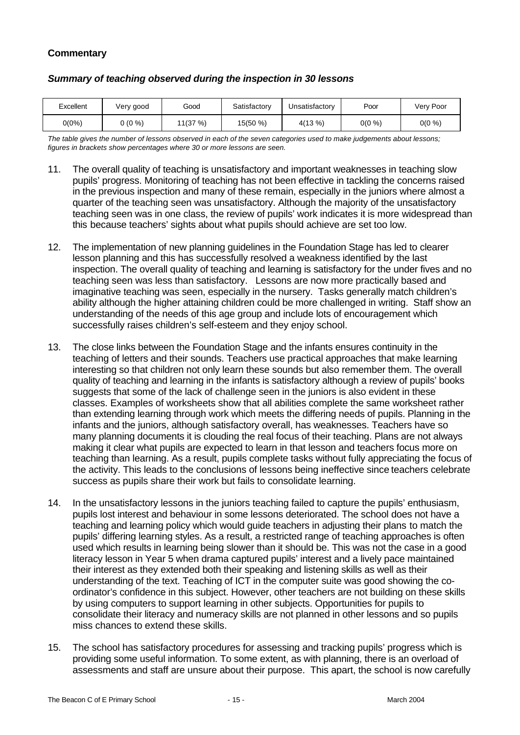# **Commentary**

| Excellent | Very good | Good    | Satisfactory | Unsatisfactory | Poor      | Very Poor |
|-----------|-----------|---------|--------------|----------------|-----------|-----------|
| $0(0\%)$  | $(0\% )$  | 11(37%) | 15(50 %)     | 4(13%)         | $0(0\% )$ | 0(0 %)    |

#### *Summary of teaching observed during the inspection in 30 lessons*

*The table gives the number of lessons observed in each of the seven categories used to make judgements about lessons; figures in brackets show percentages where 30 or more lessons are seen.*

- 11. The overall quality of teaching is unsatisfactory and important weaknesses in teaching slow pupils' progress. Monitoring of teaching has not been effective in tackling the concerns raised in the previous inspection and many of these remain, especially in the juniors where almost a quarter of the teaching seen was unsatisfactory. Although the majority of the unsatisfactory teaching seen was in one class, the review of pupils' work indicates it is more widespread than this because teachers' sights about what pupils should achieve are set too low.
- 12. The implementation of new planning guidelines in the Foundation Stage has led to clearer lesson planning and this has successfully resolved a weakness identified by the last inspection. The overall quality of teaching and learning is satisfactory for the under fives and no teaching seen was less than satisfactory. Lessons are now more practically based and imaginative teaching was seen, especially in the nursery. Tasks generally match children's ability although the higher attaining children could be more challenged in writing. Staff show an understanding of the needs of this age group and include lots of encouragement which successfully raises children's self-esteem and they enjoy school.
- 13. The close links between the Foundation Stage and the infants ensures continuity in the teaching of letters and their sounds. Teachers use practical approaches that make learning interesting so that children not only learn these sounds but also remember them. The overall quality of teaching and learning in the infants is satisfactory although a review of pupils' books suggests that some of the lack of challenge seen in the juniors is also evident in these classes. Examples of worksheets show that all abilities complete the same worksheet rather than extending learning through work which meets the differing needs of pupils. Planning in the infants and the juniors, although satisfactory overall, has weaknesses. Teachers have so many planning documents it is clouding the real focus of their teaching. Plans are not always making it clear what pupils are expected to learn in that lesson and teachers focus more on teaching than learning. As a result, pupils complete tasks without fully appreciating the focus of the activity. This leads to the conclusions of lessons being ineffective since teachers celebrate success as pupils share their work but fails to consolidate learning.
- 14. In the unsatisfactory lessons in the juniors teaching failed to capture the pupils' enthusiasm, pupils lost interest and behaviour in some lessons deteriorated. The school does not have a teaching and learning policy which would guide teachers in adjusting their plans to match the pupils' differing learning styles. As a result, a restricted range of teaching approaches is often used which results in learning being slower than it should be. This was not the case in a good literacy lesson in Year 5 when drama captured pupils' interest and a lively pace maintained their interest as they extended both their speaking and listening skills as well as their understanding of the text. Teaching of ICT in the computer suite was good showing the coordinator's confidence in this subject. However, other teachers are not building on these skills by using computers to support learning in other subjects. Opportunities for pupils to consolidate their literacy and numeracy skills are not planned in other lessons and so pupils miss chances to extend these skills.
- 15. The school has satisfactory procedures for assessing and tracking pupils' progress which is providing some useful information. To some extent, as with planning, there is an overload of assessments and staff are unsure about their purpose. This apart, the school is now carefully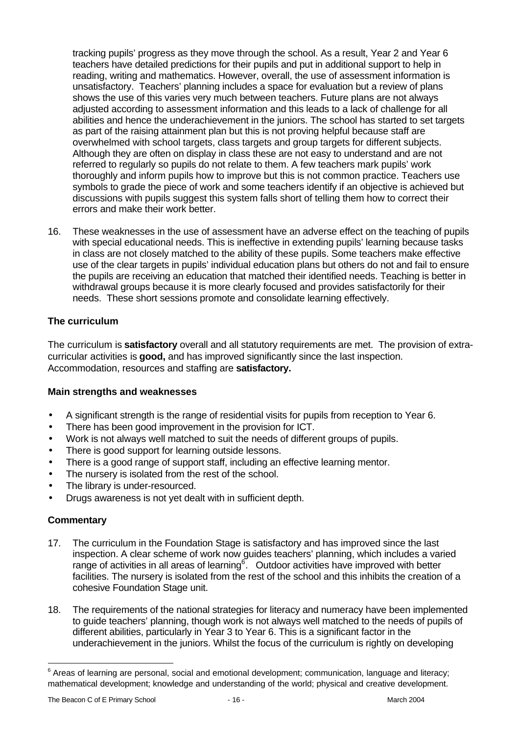tracking pupils' progress as they move through the school. As a result, Year 2 and Year 6 teachers have detailed predictions for their pupils and put in additional support to help in reading, writing and mathematics. However, overall, the use of assessment information is unsatisfactory. Teachers' planning includes a space for evaluation but a review of plans shows the use of this varies very much between teachers. Future plans are not always adjusted according to assessment information and this leads to a lack of challenge for all abilities and hence the underachievement in the juniors. The school has started to set targets as part of the raising attainment plan but this is not proving helpful because staff are overwhelmed with school targets, class targets and group targets for different subjects. Although they are often on display in class these are not easy to understand and are not referred to regularly so pupils do not relate to them. A few teachers mark pupils' work thoroughly and inform pupils how to improve but this is not common practice. Teachers use symbols to grade the piece of work and some teachers identify if an objective is achieved but discussions with pupils suggest this system falls short of telling them how to correct their errors and make their work better.

16. These weaknesses in the use of assessment have an adverse effect on the teaching of pupils with special educational needs. This is ineffective in extending pupils' learning because tasks in class are not closely matched to the ability of these pupils. Some teachers make effective use of the clear targets in pupils' individual education plans but others do not and fail to ensure the pupils are receiving an education that matched their identified needs. Teaching is better in withdrawal groups because it is more clearly focused and provides satisfactorily for their needs. These short sessions promote and consolidate learning effectively.

# **The curriculum**

The curriculum is **satisfactory** overall and all statutory requirements are met. The provision of extracurricular activities is **good,** and has improved significantly since the last inspection. Accommodation, resources and staffing are **satisfactory.**

# **Main strengths and weaknesses**

- A significant strength is the range of residential visits for pupils from reception to Year 6.
- There has been good improvement in the provision for ICT.
- Work is not always well matched to suit the needs of different groups of pupils.
- There is good support for learning outside lessons.
- There is a good range of support staff, including an effective learning mentor.
- The nursery is isolated from the rest of the school.
- The library is under-resourced.
- Drugs awareness is not yet dealt with in sufficient depth.

## **Commentary**

l

- 17. The curriculum in the Foundation Stage is satisfactory and has improved since the last inspection. A clear scheme of work now guides teachers' planning, which includes a varied range of activities in all areas of learning $6$ . Outdoor activities have improved with better facilities. The nursery is isolated from the rest of the school and this inhibits the creation of a cohesive Foundation Stage unit.
- 18. The requirements of the national strategies for literacy and numeracy have been implemented to guide teachers' planning, though work is not always well matched to the needs of pupils of different abilities, particularly in Year 3 to Year 6. This is a significant factor in the underachievement in the juniors. Whilst the focus of the curriculum is rightly on developing

 $6$  Areas of learning are personal, social and emotional development; communication, language and literacy; mathematical development; knowledge and understanding of the world; physical and creative development.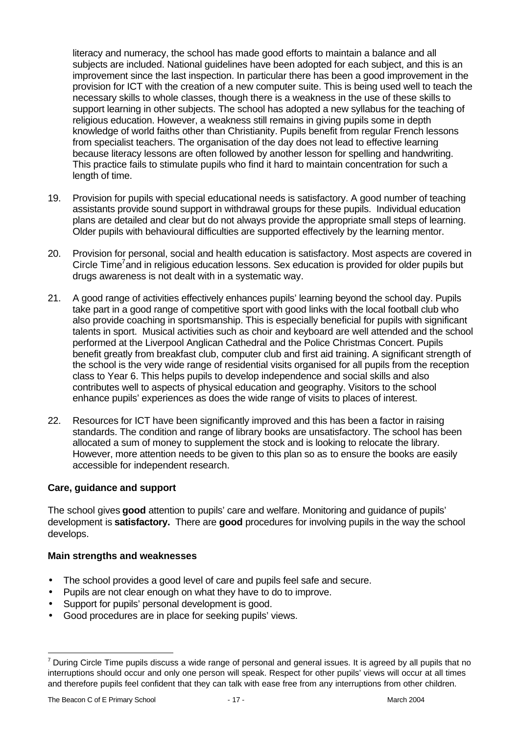literacy and numeracy, the school has made good efforts to maintain a balance and all subjects are included. National guidelines have been adopted for each subject, and this is an improvement since the last inspection. In particular there has been a good improvement in the provision for ICT with the creation of a new computer suite. This is being used well to teach the necessary skills to whole classes, though there is a weakness in the use of these skills to support learning in other subjects. The school has adopted a new syllabus for the teaching of religious education. However, a weakness still remains in giving pupils some in depth knowledge of world faiths other than Christianity. Pupils benefit from regular French lessons from specialist teachers. The organisation of the day does not lead to effective learning because literacy lessons are often followed by another lesson for spelling and handwriting. This practice fails to stimulate pupils who find it hard to maintain concentration for such a length of time.

- 19. Provision for pupils with special educational needs is satisfactory. A good number of teaching assistants provide sound support in withdrawal groups for these pupils. Individual education plans are detailed and clear but do not always provide the appropriate small steps of learning. Older pupils with behavioural difficulties are supported effectively by the learning mentor.
- 20. Provision for personal, social and health education is satisfactory. Most aspects are covered in Circle Time<sup>7</sup> and in religious education lessons. Sex education is provided for older pupils but drugs awareness is not dealt with in a systematic way.
- 21. A good range of activities effectively enhances pupils' learning beyond the school day. Pupils take part in a good range of competitive sport with good links with the local football club who also provide coaching in sportsmanship. This is especially beneficial for pupils with significant talents in sport. Musical activities such as choir and keyboard are well attended and the school performed at the Liverpool Anglican Cathedral and the Police Christmas Concert. Pupils benefit greatly from breakfast club, computer club and first aid training. A significant strength of the school is the very wide range of residential visits organised for all pupils from the reception class to Year 6. This helps pupils to develop independence and social skills and also contributes well to aspects of physical education and geography. Visitors to the school enhance pupils' experiences as does the wide range of visits to places of interest.
- 22. Resources for ICT have been significantly improved and this has been a factor in raising standards. The condition and range of library books are unsatisfactory. The school has been allocated a sum of money to supplement the stock and is looking to relocate the library. However, more attention needs to be given to this plan so as to ensure the books are easily accessible for independent research.

# **Care, guidance and support**

The school gives **good** attention to pupils' care and welfare. Monitoring and guidance of pupils' development is **satisfactory.** There are **good** procedures for involving pupils in the way the school develops.

## **Main strengths and weaknesses**

- The school provides a good level of care and pupils feel safe and secure.
- Pupils are not clear enough on what they have to do to improve.
- Support for pupils' personal development is good.
- Good procedures are in place for seeking pupils' views.

l

 $^7$  During Circle Time pupils discuss a wide range of personal and general issues. It is agreed by all pupils that no interruptions should occur and only one person will speak. Respect for other pupils' views will occur at all times and therefore pupils feel confident that they can talk with ease free from any interruptions from other children.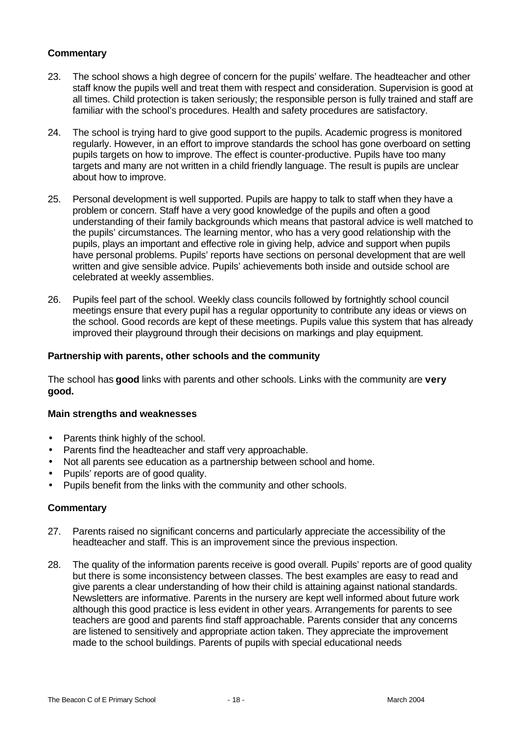## **Commentary**

- 23. The school shows a high degree of concern for the pupils' welfare. The headteacher and other staff know the pupils well and treat them with respect and consideration. Supervision is good at all times. Child protection is taken seriously; the responsible person is fully trained and staff are familiar with the school's procedures. Health and safety procedures are satisfactory.
- 24. The school is trying hard to give good support to the pupils. Academic progress is monitored regularly. However, in an effort to improve standards the school has gone overboard on setting pupils targets on how to improve. The effect is counter-productive. Pupils have too many targets and many are not written in a child friendly language. The result is pupils are unclear about how to improve.
- 25. Personal development is well supported. Pupils are happy to talk to staff when they have a problem or concern. Staff have a very good knowledge of the pupils and often a good understanding of their family backgrounds which means that pastoral advice is well matched to the pupils' circumstances. The learning mentor, who has a very good relationship with the pupils, plays an important and effective role in giving help, advice and support when pupils have personal problems. Pupils' reports have sections on personal development that are well written and give sensible advice. Pupils' achievements both inside and outside school are celebrated at weekly assemblies.
- 26. Pupils feel part of the school. Weekly class councils followed by fortnightly school council meetings ensure that every pupil has a regular opportunity to contribute any ideas or views on the school. Good records are kept of these meetings. Pupils value this system that has already improved their playground through their decisions on markings and play equipment.

## **Partnership with parents, other schools and the community**

The school has **good** links with parents and other schools. Links with the community are **very good.**

#### **Main strengths and weaknesses**

- Parents think highly of the school.
- Parents find the headteacher and staff very approachable.
- Not all parents see education as a partnership between school and home.
- Pupils' reports are of good quality.
- Pupils benefit from the links with the community and other schools.

#### **Commentary**

- 27. Parents raised no significant concerns and particularly appreciate the accessibility of the headteacher and staff. This is an improvement since the previous inspection.
- 28. The quality of the information parents receive is good overall. Pupils' reports are of good quality but there is some inconsistency between classes. The best examples are easy to read and give parents a clear understanding of how their child is attaining against national standards. Newsletters are informative. Parents in the nursery are kept well informed about future work although this good practice is less evident in other years. Arrangements for parents to see teachers are good and parents find staff approachable. Parents consider that any concerns are listened to sensitively and appropriate action taken. They appreciate the improvement made to the school buildings. Parents of pupils with special educational needs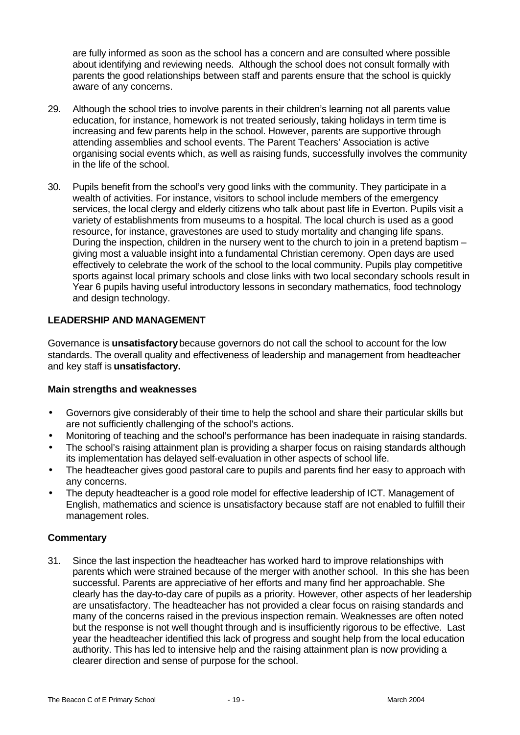are fully informed as soon as the school has a concern and are consulted where possible about identifying and reviewing needs. Although the school does not consult formally with parents the good relationships between staff and parents ensure that the school is quickly aware of any concerns.

- 29. Although the school tries to involve parents in their children's learning not all parents value education, for instance, homework is not treated seriously, taking holidays in term time is increasing and few parents help in the school. However, parents are supportive through attending assemblies and school events. The Parent Teachers' Association is active organising social events which, as well as raising funds, successfully involves the community in the life of the school.
- 30. Pupils benefit from the school's very good links with the community. They participate in a wealth of activities. For instance, visitors to school include members of the emergency services, the local clergy and elderly citizens who talk about past life in Everton. Pupils visit a variety of establishments from museums to a hospital. The local church is used as a good resource, for instance, gravestones are used to study mortality and changing life spans. During the inspection, children in the nursery went to the church to join in a pretend baptism – giving most a valuable insight into a fundamental Christian ceremony. Open days are used effectively to celebrate the work of the school to the local community. Pupils play competitive sports against local primary schools and close links with two local secondary schools result in Year 6 pupils having useful introductory lessons in secondary mathematics, food technology and design technology.

## **LEADERSHIP AND MANAGEMENT**

Governance is **unsatisfactory** because governors do not call the school to account for the low standards. The overall quality and effectiveness of leadership and management from headteacher and key staff is **unsatisfactory.**

## **Main strengths and weaknesses**

- Governors give considerably of their time to help the school and share their particular skills but are not sufficiently challenging of the school's actions.
- Monitoring of teaching and the school's performance has been inadequate in raising standards.
- The school's raising attainment plan is providing a sharper focus on raising standards although its implementation has delayed self-evaluation in other aspects of school life.
- The headteacher gives good pastoral care to pupils and parents find her easy to approach with any concerns.
- The deputy headteacher is a good role model for effective leadership of ICT. Management of English, mathematics and science is unsatisfactory because staff are not enabled to fulfill their management roles.

## **Commentary**

31. Since the last inspection the headteacher has worked hard to improve relationships with parents which were strained because of the merger with another school. In this she has been successful. Parents are appreciative of her efforts and many find her approachable. She clearly has the day-to-day care of pupils as a priority. However, other aspects of her leadership are unsatisfactory. The headteacher has not provided a clear focus on raising standards and many of the concerns raised in the previous inspection remain. Weaknesses are often noted but the response is not well thought through and is insufficiently rigorous to be effective. Last year the headteacher identified this lack of progress and sought help from the local education authority. This has led to intensive help and the raising attainment plan is now providing a clearer direction and sense of purpose for the school.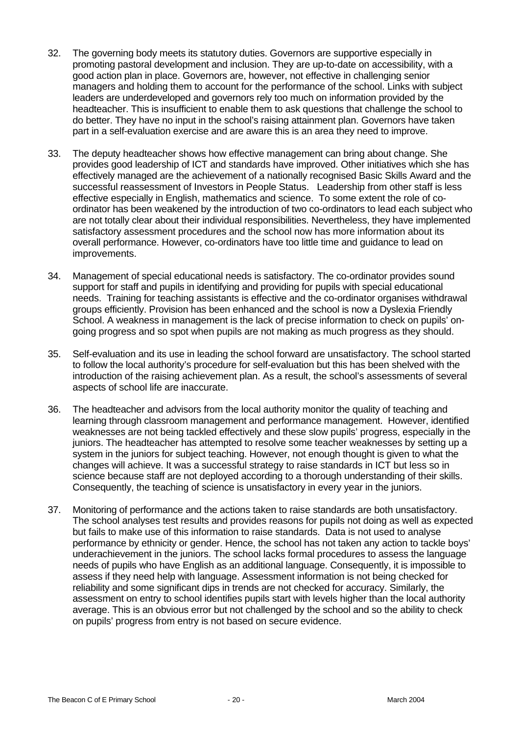- 32. The governing body meets its statutory duties. Governors are supportive especially in promoting pastoral development and inclusion. They are up-to-date on accessibility, with a good action plan in place. Governors are, however, not effective in challenging senior managers and holding them to account for the performance of the school. Links with subject leaders are underdeveloped and governors rely too much on information provided by the headteacher. This is insufficient to enable them to ask questions that challenge the school to do better. They have no input in the school's raising attainment plan. Governors have taken part in a self-evaluation exercise and are aware this is an area they need to improve.
- 33. The deputy headteacher shows how effective management can bring about change. She provides good leadership of ICT and standards have improved. Other initiatives which she has effectively managed are the achievement of a nationally recognised Basic Skills Award and the successful reassessment of Investors in People Status. Leadership from other staff is less effective especially in English, mathematics and science. To some extent the role of coordinator has been weakened by the introduction of two co-ordinators to lead each subject who are not totally clear about their individual responsibilities. Nevertheless, they have implemented satisfactory assessment procedures and the school now has more information about its overall performance. However, co-ordinators have too little time and guidance to lead on improvements.
- 34. Management of special educational needs is satisfactory. The co-ordinator provides sound support for staff and pupils in identifying and providing for pupils with special educational needs. Training for teaching assistants is effective and the co-ordinator organises withdrawal groups efficiently. Provision has been enhanced and the school is now a Dyslexia Friendly School. A weakness in management is the lack of precise information to check on pupils' ongoing progress and so spot when pupils are not making as much progress as they should.
- 35. Self-evaluation and its use in leading the school forward are unsatisfactory. The school started to follow the local authority's procedure for self-evaluation but this has been shelved with the introduction of the raising achievement plan. As a result, the school's assessments of several aspects of school life are inaccurate.
- 36. The headteacher and advisors from the local authority monitor the quality of teaching and learning through classroom management and performance management. However, identified weaknesses are not being tackled effectively and these slow pupils' progress, especially in the juniors. The headteacher has attempted to resolve some teacher weaknesses by setting up a system in the juniors for subject teaching. However, not enough thought is given to what the changes will achieve. It was a successful strategy to raise standards in ICT but less so in science because staff are not deployed according to a thorough understanding of their skills. Consequently, the teaching of science is unsatisfactory in every year in the juniors.
- 37. Monitoring of performance and the actions taken to raise standards are both unsatisfactory. The school analyses test results and provides reasons for pupils not doing as well as expected but fails to make use of this information to raise standards. Data is not used to analyse performance by ethnicity or gender. Hence, the school has not taken any action to tackle boys' underachievement in the juniors. The school lacks formal procedures to assess the language needs of pupils who have English as an additional language. Consequently, it is impossible to assess if they need help with language. Assessment information is not being checked for reliability and some significant dips in trends are not checked for accuracy. Similarly, the assessment on entry to school identifies pupils start with levels higher than the local authority average. This is an obvious error but not challenged by the school and so the ability to check on pupils' progress from entry is not based on secure evidence.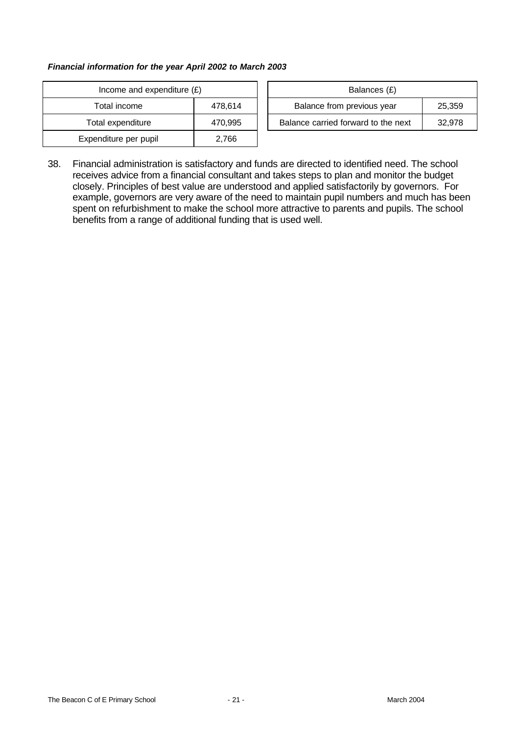#### *Financial information for the year April 2002 to March 2003*

| Income and expenditure $(E)$ |         |  | Balances (£)                     |
|------------------------------|---------|--|----------------------------------|
| Total income                 | 478,614 |  | Balance from previous year       |
| Total expenditure            | 470,995 |  | Balance carried forward to the i |
| Expenditure per pupil        | 2,766   |  |                                  |

| Income and expenditure $(E)$ |         | Balances (£)                         |        |
|------------------------------|---------|--------------------------------------|--------|
| Total income                 | 478.614 | Balance from previous year<br>25,359 |        |
| Total expenditure            | 470.995 | Balance carried forward to the next  | 32,978 |

38. Financial administration is satisfactory and funds are directed to identified need. The school receives advice from a financial consultant and takes steps to plan and monitor the budget closely. Principles of best value are understood and applied satisfactorily by governors. For example, governors are very aware of the need to maintain pupil numbers and much has been spent on refurbishment to make the school more attractive to parents and pupils. The school benefits from a range of additional funding that is used well.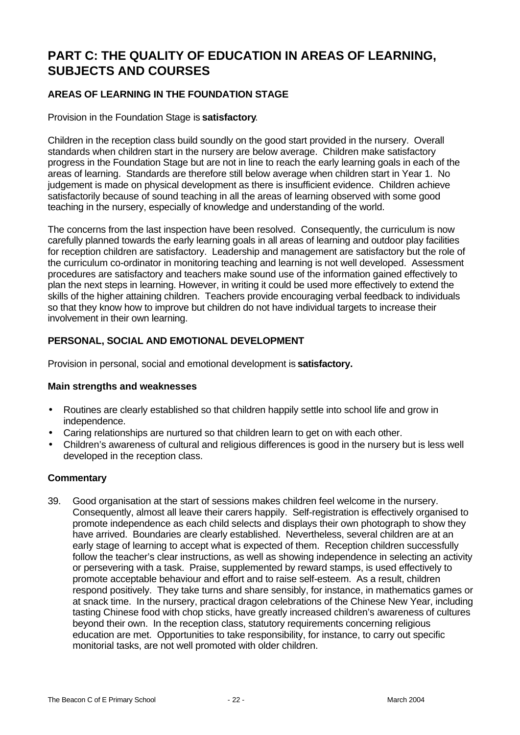# **PART C: THE QUALITY OF EDUCATION IN AREAS OF LEARNING, SUBJECTS AND COURSES**

# **AREAS OF LEARNING IN THE FOUNDATION STAGE**

Provision in the Foundation Stage is **satisfactory**.

Children in the reception class build soundly on the good start provided in the nursery. Overall standards when children start in the nursery are below average. Children make satisfactory progress in the Foundation Stage but are not in line to reach the early learning goals in each of the areas of learning. Standards are therefore still below average when children start in Year 1. No judgement is made on physical development as there is insufficient evidence. Children achieve satisfactorily because of sound teaching in all the areas of learning observed with some good teaching in the nursery, especially of knowledge and understanding of the world.

The concerns from the last inspection have been resolved. Consequently, the curriculum is now carefully planned towards the early learning goals in all areas of learning and outdoor play facilities for reception children are satisfactory. Leadership and management are satisfactory but the role of the curriculum co-ordinator in monitoring teaching and learning is not well developed. Assessment procedures are satisfactory and teachers make sound use of the information gained effectively to plan the next steps in learning. However, in writing it could be used more effectively to extend the skills of the higher attaining children. Teachers provide encouraging verbal feedback to individuals so that they know how to improve but children do not have individual targets to increase their involvement in their own learning.

# **PERSONAL, SOCIAL AND EMOTIONAL DEVELOPMENT**

Provision in personal, social and emotional development is **satisfactory.**

## **Main strengths and weaknesses**

- Routines are clearly established so that children happily settle into school life and grow in independence.
- Caring relationships are nurtured so that children learn to get on with each other.
- Children's awareness of cultural and religious differences is good in the nursery but is less well developed in the reception class.

## **Commentary**

39. Good organisation at the start of sessions makes children feel welcome in the nursery. Consequently, almost all leave their carers happily. Self-registration is effectively organised to promote independence as each child selects and displays their own photograph to show they have arrived. Boundaries are clearly established. Nevertheless, several children are at an early stage of learning to accept what is expected of them. Reception children successfully follow the teacher's clear instructions, as well as showing independence in selecting an activity or persevering with a task. Praise, supplemented by reward stamps, is used effectively to promote acceptable behaviour and effort and to raise self-esteem. As a result, children respond positively. They take turns and share sensibly, for instance, in mathematics games or at snack time. In the nursery, practical dragon celebrations of the Chinese New Year, including tasting Chinese food with chop sticks, have greatly increased children's awareness of cultures beyond their own. In the reception class, statutory requirements concerning religious education are met. Opportunities to take responsibility, for instance, to carry out specific monitorial tasks, are not well promoted with older children.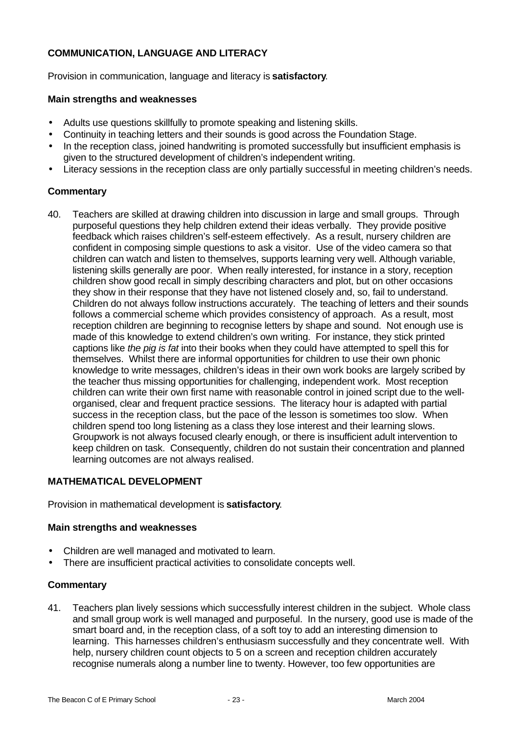# **COMMUNICATION, LANGUAGE AND LITERACY**

Provision in communication, language and literacy is **satisfactory**.

#### **Main strengths and weaknesses**

- Adults use questions skillfully to promote speaking and listening skills.
- Continuity in teaching letters and their sounds is good across the Foundation Stage.
- In the reception class, joined handwriting is promoted successfully but insufficient emphasis is given to the structured development of children's independent writing.
- Literacy sessions in the reception class are only partially successful in meeting children's needs.

## **Commentary**

40. Teachers are skilled at drawing children into discussion in large and small groups. Through purposeful questions they help children extend their ideas verbally. They provide positive feedback which raises children's self-esteem effectively. As a result, nursery children are confident in composing simple questions to ask a visitor. Use of the video camera so that children can watch and listen to themselves, supports learning very well. Although variable, listening skills generally are poor. When really interested, for instance in a story, reception children show good recall in simply describing characters and plot, but on other occasions they show in their response that they have not listened closely and, so, fail to understand. Children do not always follow instructions accurately. The teaching of letters and their sounds follows a commercial scheme which provides consistency of approach. As a result, most reception children are beginning to recognise letters by shape and sound. Not enough use is made of this knowledge to extend children's own writing. For instance, they stick printed captions like *the pig is fat* into their books when they could have attempted to spell this for themselves. Whilst there are informal opportunities for children to use their own phonic knowledge to write messages, children's ideas in their own work books are largely scribed by the teacher thus missing opportunities for challenging, independent work. Most reception children can write their own first name with reasonable control in joined script due to the wellorganised, clear and frequent practice sessions. The literacy hour is adapted with partial success in the reception class, but the pace of the lesson is sometimes too slow. When children spend too long listening as a class they lose interest and their learning slows. Groupwork is not always focused clearly enough, or there is insufficient adult intervention to keep children on task. Consequently, children do not sustain their concentration and planned learning outcomes are not always realised.

## **MATHEMATICAL DEVELOPMENT**

Provision in mathematical development is **satisfactory**.

#### **Main strengths and weaknesses**

- Children are well managed and motivated to learn.
- There are insufficient practical activities to consolidate concepts well.

## **Commentary**

41. Teachers plan lively sessions which successfully interest children in the subject. Whole class and small group work is well managed and purposeful. In the nursery, good use is made of the smart board and, in the reception class, of a soft toy to add an interesting dimension to learning. This harnesses children's enthusiasm successfully and they concentrate well. With help, nursery children count objects to 5 on a screen and reception children accurately recognise numerals along a number line to twenty. However, too few opportunities are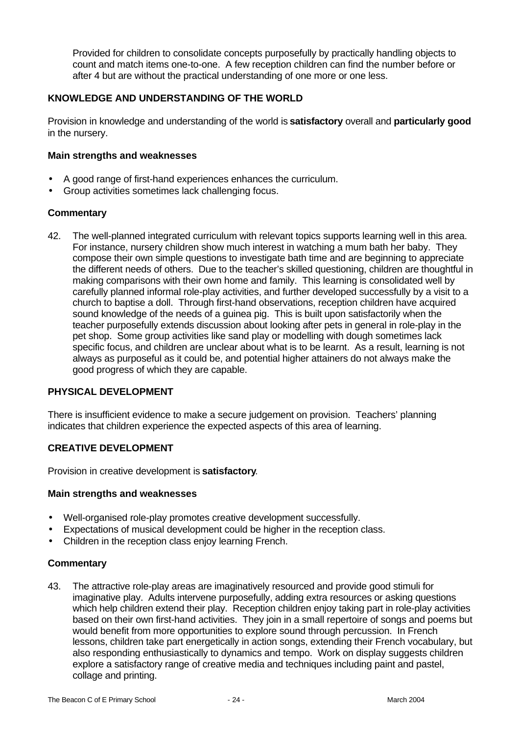Provided for children to consolidate concepts purposefully by practically handling objects to count and match items one-to-one. A few reception children can find the number before or after 4 but are without the practical understanding of one more or one less.

# **KNOWLEDGE AND UNDERSTANDING OF THE WORLD**

Provision in knowledge and understanding of the world is **satisfactory** overall and **particularly good** in the nursery.

#### **Main strengths and weaknesses**

- A good range of first-hand experiences enhances the curriculum.
- Group activities sometimes lack challenging focus.

#### **Commentary**

42. The well-planned integrated curriculum with relevant topics supports learning well in this area. For instance, nursery children show much interest in watching a mum bath her baby. They compose their own simple questions to investigate bath time and are beginning to appreciate the different needs of others. Due to the teacher's skilled questioning, children are thoughtful in making comparisons with their own home and family. This learning is consolidated well by carefully planned informal role-play activities, and further developed successfully by a visit to a church to baptise a doll. Through first-hand observations, reception children have acquired sound knowledge of the needs of a guinea pig. This is built upon satisfactorily when the teacher purposefully extends discussion about looking after pets in general in role-play in the pet shop. Some group activities like sand play or modelling with dough sometimes lack specific focus, and children are unclear about what is to be learnt. As a result, learning is not always as purposeful as it could be, and potential higher attainers do not always make the good progress of which they are capable.

## **PHYSICAL DEVELOPMENT**

There is insufficient evidence to make a secure judgement on provision. Teachers' planning indicates that children experience the expected aspects of this area of learning.

## **CREATIVE DEVELOPMENT**

Provision in creative development is **satisfactory**.

#### **Main strengths and weaknesses**

- Well-organised role-play promotes creative development successfully.
- Expectations of musical development could be higher in the reception class.
- Children in the reception class enjoy learning French.

## **Commentary**

43. The attractive role-play areas are imaginatively resourced and provide good stimuli for imaginative play. Adults intervene purposefully, adding extra resources or asking questions which help children extend their play. Reception children enjoy taking part in role-play activities based on their own first-hand activities. They join in a small repertoire of songs and poems but would benefit from more opportunities to explore sound through percussion. In French lessons, children take part energetically in action songs, extending their French vocabulary, but also responding enthusiastically to dynamics and tempo. Work on display suggests children explore a satisfactory range of creative media and techniques including paint and pastel, collage and printing.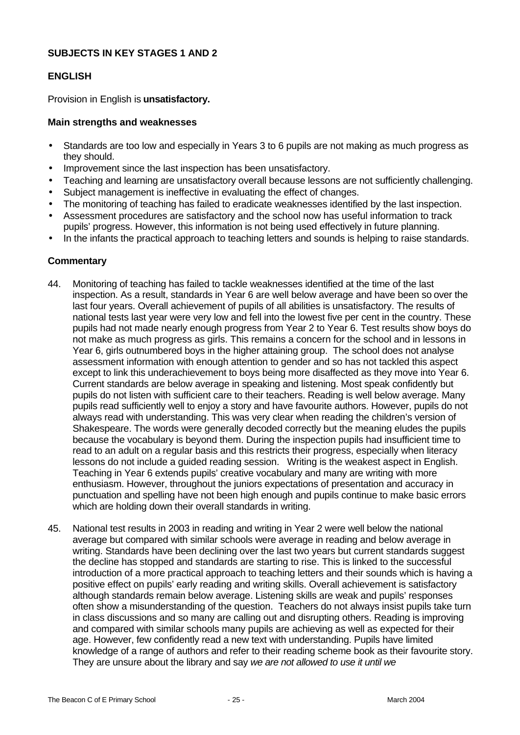## **SUBJECTS IN KEY STAGES 1 AND 2**

## **ENGLISH**

Provision in English is **unsatisfactory.**

## **Main strengths and weaknesses**

- Standards are too low and especially in Years 3 to 6 pupils are not making as much progress as they should.
- Improvement since the last inspection has been unsatisfactory.
- Teaching and learning are unsatisfactory overall because lessons are not sufficiently challenging.
- Subject management is ineffective in evaluating the effect of changes.
- The monitoring of teaching has failed to eradicate weaknesses identified by the last inspection.
- Assessment procedures are satisfactory and the school now has useful information to track pupils' progress. However, this information is not being used effectively in future planning.
- In the infants the practical approach to teaching letters and sounds is helping to raise standards.

## **Commentary**

- 44. Monitoring of teaching has failed to tackle weaknesses identified at the time of the last inspection. As a result, standards in Year 6 are well below average and have been so over the last four years. Overall achievement of pupils of all abilities is unsatisfactory. The results of national tests last year were very low and fell into the lowest five per cent in the country. These pupils had not made nearly enough progress from Year 2 to Year 6. Test results show boys do not make as much progress as girls. This remains a concern for the school and in lessons in Year 6, girls outnumbered boys in the higher attaining group. The school does not analyse assessment information with enough attention to gender and so has not tackled this aspect except to link this underachievement to boys being more disaffected as they move into Year 6. Current standards are below average in speaking and listening. Most speak confidently but pupils do not listen with sufficient care to their teachers. Reading is well below average. Many pupils read sufficiently well to enjoy a story and have favourite authors. However, pupils do not always read with understanding. This was very clear when reading the children's version of Shakespeare. The words were generally decoded correctly but the meaning eludes the pupils because the vocabulary is beyond them. During the inspection pupils had insufficient time to read to an adult on a regular basis and this restricts their progress, especially when literacy lessons do not include a guided reading session. Writing is the weakest aspect in English. Teaching in Year 6 extends pupils' creative vocabulary and many are writing with more enthusiasm. However, throughout the juniors expectations of presentation and accuracy in punctuation and spelling have not been high enough and pupils continue to make basic errors which are holding down their overall standards in writing.
- 45. National test results in 2003 in reading and writing in Year 2 were well below the national average but compared with similar schools were average in reading and below average in writing. Standards have been declining over the last two years but current standards suggest the decline has stopped and standards are starting to rise. This is linked to the successful introduction of a more practical approach to teaching letters and their sounds which is having a positive effect on pupils' early reading and writing skills. Overall achievement is satisfactory although standards remain below average. Listening skills are weak and pupils' responses often show a misunderstanding of the question. Teachers do not always insist pupils take turn in class discussions and so many are calling out and disrupting others. Reading is improving and compared with similar schools many pupils are achieving as well as expected for their age. However, few confidently read a new text with understanding. Pupils have limited knowledge of a range of authors and refer to their reading scheme book as their favourite story. They are unsure about the library and say *we are not allowed to use it until we*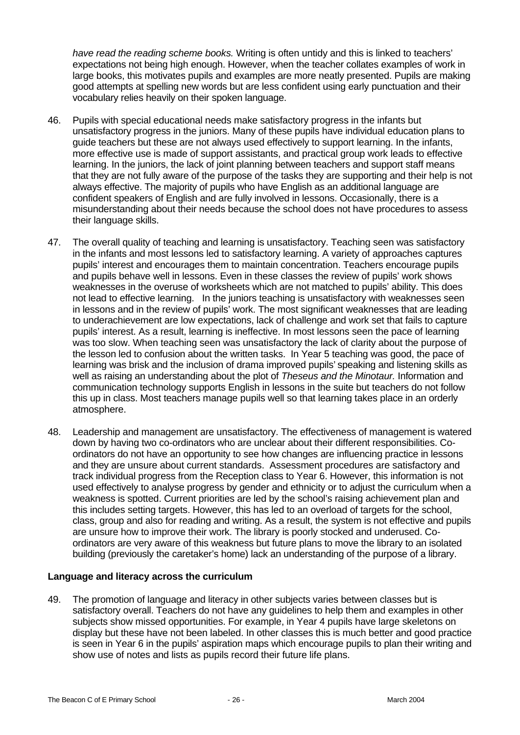*have read the reading scheme books.* Writing is often untidy and this is linked to teachers' expectations not being high enough. However, when the teacher collates examples of work in large books, this motivates pupils and examples are more neatly presented. Pupils are making good attempts at spelling new words but are less confident using early punctuation and their vocabulary relies heavily on their spoken language.

- 46. Pupils with special educational needs make satisfactory progress in the infants but unsatisfactory progress in the juniors. Many of these pupils have individual education plans to guide teachers but these are not always used effectively to support learning. In the infants, more effective use is made of support assistants, and practical group work leads to effective learning. In the juniors, the lack of joint planning between teachers and support staff means that they are not fully aware of the purpose of the tasks they are supporting and their help is not always effective. The majority of pupils who have English as an additional language are confident speakers of English and are fully involved in lessons. Occasionally, there is a misunderstanding about their needs because the school does not have procedures to assess their language skills.
- 47. The overall quality of teaching and learning is unsatisfactory. Teaching seen was satisfactory in the infants and most lessons led to satisfactory learning. A variety of approaches captures pupils' interest and encourages them to maintain concentration. Teachers encourage pupils and pupils behave well in lessons. Even in these classes the review of pupils' work shows weaknesses in the overuse of worksheets which are not matched to pupils' ability. This does not lead to effective learning. In the juniors teaching is unsatisfactory with weaknesses seen in lessons and in the review of pupils' work. The most significant weaknesses that are leading to underachievement are low expectations, lack of challenge and work set that fails to capture pupils' interest. As a result, learning is ineffective. In most lessons seen the pace of learning was too slow. When teaching seen was unsatisfactory the lack of clarity about the purpose of the lesson led to confusion about the written tasks. In Year 5 teaching was good, the pace of learning was brisk and the inclusion of drama improved pupils' speaking and listening skills as well as raising an understanding about the plot of *Theseus and the Minotaur.* Information and communication technology supports English in lessons in the suite but teachers do not follow this up in class. Most teachers manage pupils well so that learning takes place in an orderly atmosphere.
- 48. Leadership and management are unsatisfactory. The effectiveness of management is watered down by having two co-ordinators who are unclear about their different responsibilities. Coordinators do not have an opportunity to see how changes are influencing practice in lessons and they are unsure about current standards. Assessment procedures are satisfactory and track individual progress from the Reception class to Year 6. However, this information is not used effectively to analyse progress by gender and ethnicity or to adjust the curriculum when a weakness is spotted. Current priorities are led by the school's raising achievement plan and this includes setting targets. However, this has led to an overload of targets for the school, class, group and also for reading and writing. As a result, the system is not effective and pupils are unsure how to improve their work. The library is poorly stocked and underused. Coordinators are very aware of this weakness but future plans to move the library to an isolated building (previously the caretaker's home) lack an understanding of the purpose of a library.

## **Language and literacy across the curriculum**

49. The promotion of language and literacy in other subjects varies between classes but is satisfactory overall. Teachers do not have any guidelines to help them and examples in other subjects show missed opportunities. For example, in Year 4 pupils have large skeletons on display but these have not been labeled. In other classes this is much better and good practice is seen in Year 6 in the pupils' aspiration maps which encourage pupils to plan their writing and show use of notes and lists as pupils record their future life plans.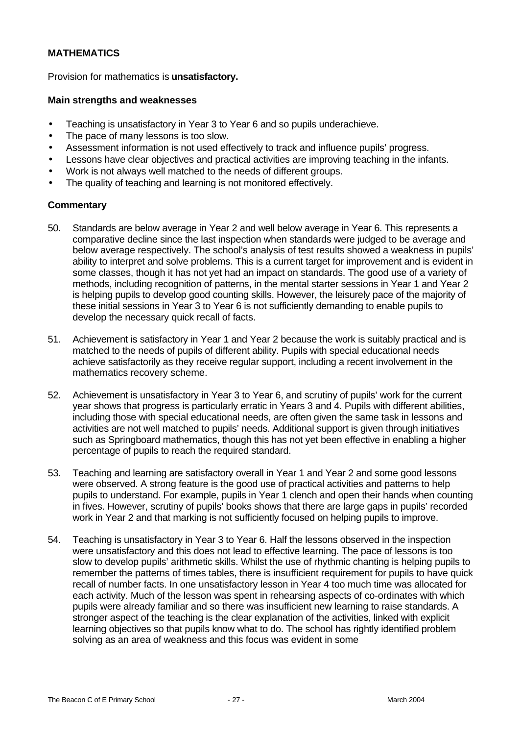# **MATHEMATICS**

Provision for mathematics is **unsatisfactory.**

#### **Main strengths and weaknesses**

- Teaching is unsatisfactory in Year 3 to Year 6 and so pupils underachieve.
- The pace of many lessons is too slow.
- Assessment information is not used effectively to track and influence pupils' progress.
- Lessons have clear objectives and practical activities are improving teaching in the infants.
- Work is not always well matched to the needs of different groups.
- The quality of teaching and learning is not monitored effectively.

#### **Commentary**

- 50. Standards are below average in Year 2 and well below average in Year 6. This represents a comparative decline since the last inspection when standards were judged to be average and below average respectively. The school's analysis of test results showed a weakness in pupils' ability to interpret and solve problems. This is a current target for improvement and is evident in some classes, though it has not yet had an impact on standards. The good use of a variety of methods, including recognition of patterns, in the mental starter sessions in Year 1 and Year 2 is helping pupils to develop good counting skills. However, the leisurely pace of the majority of these initial sessions in Year 3 to Year 6 is not sufficiently demanding to enable pupils to develop the necessary quick recall of facts.
- 51. Achievement is satisfactory in Year 1 and Year 2 because the work is suitably practical and is matched to the needs of pupils of different ability. Pupils with special educational needs achieve satisfactorily as they receive regular support, including a recent involvement in the mathematics recovery scheme.
- 52. Achievement is unsatisfactory in Year 3 to Year 6, and scrutiny of pupils' work for the current year shows that progress is particularly erratic in Years 3 and 4. Pupils with different abilities, including those with special educational needs, are often given the same task in lessons and activities are not well matched to pupils' needs. Additional support is given through initiatives such as Springboard mathematics, though this has not yet been effective in enabling a higher percentage of pupils to reach the required standard.
- 53. Teaching and learning are satisfactory overall in Year 1 and Year 2 and some good lessons were observed. A strong feature is the good use of practical activities and patterns to help pupils to understand. For example, pupils in Year 1 clench and open their hands when counting in fives. However, scrutiny of pupils' books shows that there are large gaps in pupils' recorded work in Year 2 and that marking is not sufficiently focused on helping pupils to improve.
- 54. Teaching is unsatisfactory in Year 3 to Year 6. Half the lessons observed in the inspection were unsatisfactory and this does not lead to effective learning. The pace of lessons is too slow to develop pupils' arithmetic skills. Whilst the use of rhythmic chanting is helping pupils to remember the patterns of times tables, there is insufficient requirement for pupils to have quick recall of number facts. In one unsatisfactory lesson in Year 4 too much time was allocated for each activity. Much of the lesson was spent in rehearsing aspects of co-ordinates with which pupils were already familiar and so there was insufficient new learning to raise standards. A stronger aspect of the teaching is the clear explanation of the activities, linked with explicit learning objectives so that pupils know what to do. The school has rightly identified problem solving as an area of weakness and this focus was evident in some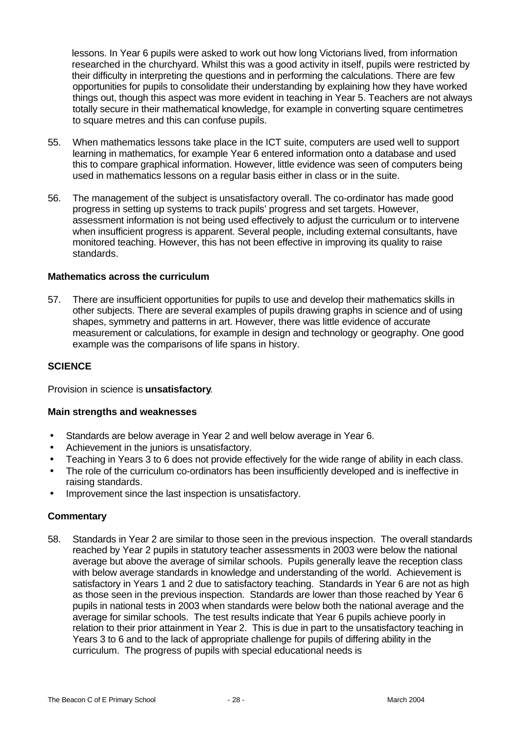lessons. In Year 6 pupils were asked to work out how long Victorians lived, from information researched in the churchyard. Whilst this was a good activity in itself, pupils were restricted by their difficulty in interpreting the questions and in performing the calculations. There are few opportunities for pupils to consolidate their understanding by explaining how they have worked things out, though this aspect was more evident in teaching in Year 5. Teachers are not always totally secure in their mathematical knowledge, for example in converting square centimetres to square metres and this can confuse pupils.

- 55. When mathematics lessons take place in the ICT suite, computers are used well to support learning in mathematics, for example Year 6 entered information onto a database and used this to compare graphical information. However, little evidence was seen of computers being used in mathematics lessons on a regular basis either in class or in the suite.
- 56. The management of the subject is unsatisfactory overall. The co-ordinator has made good progress in setting up systems to track pupils' progress and set targets. However, assessment information is not being used effectively to adjust the curriculum or to intervene when insufficient progress is apparent. Several people, including external consultants, have monitored teaching. However, this has not been effective in improving its quality to raise standards.

#### **Mathematics across the curriculum**

57. There are insufficient opportunities for pupils to use and develop their mathematics skills in other subjects. There are several examples of pupils drawing graphs in science and of using shapes, symmetry and patterns in art. However, there was little evidence of accurate measurement or calculations, for example in design and technology or geography. One good example was the comparisons of life spans in history.

#### **SCIENCE**

Provision in science is **unsatisfactory**.

#### **Main strengths and weaknesses**

- Standards are below average in Year 2 and well below average in Year 6.
- Achievement in the juniors is unsatisfactory.
- Teaching in Years 3 to 6 does not provide effectively for the wide range of ability in each class.
- The role of the curriculum co-ordinators has been insufficiently developed and is ineffective in raising standards.
- Improvement since the last inspection is unsatisfactory.

## **Commentary**

58. Standards in Year 2 are similar to those seen in the previous inspection. The overall standards reached by Year 2 pupils in statutory teacher assessments in 2003 were below the national average but above the average of similar schools. Pupils generally leave the reception class with below average standards in knowledge and understanding of the world. Achievement is satisfactory in Years 1 and 2 due to satisfactory teaching. Standards in Year 6 are not as high as those seen in the previous inspection. Standards are lower than those reached by Year 6 pupils in national tests in 2003 when standards were below both the national average and the average for similar schools. The test results indicate that Year 6 pupils achieve poorly in relation to their prior attainment in Year 2. This is due in part to the unsatisfactory teaching in Years 3 to 6 and to the lack of appropriate challenge for pupils of differing ability in the curriculum. The progress of pupils with special educational needs is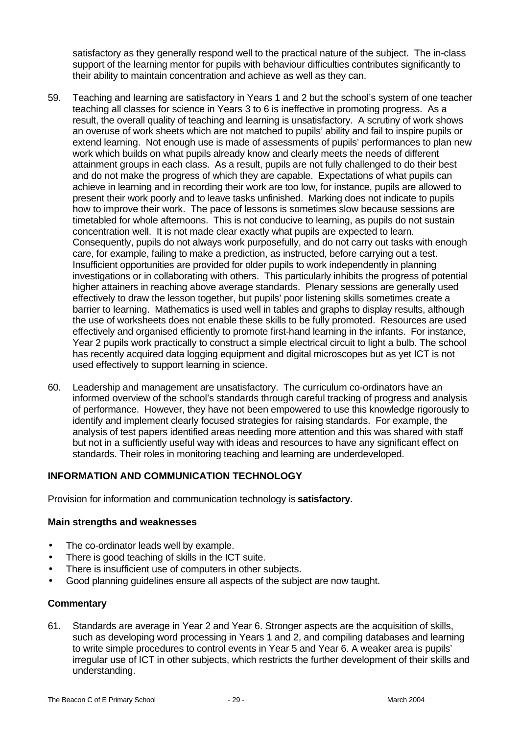satisfactory as they generally respond well to the practical nature of the subject. The in-class support of the learning mentor for pupils with behaviour difficulties contributes significantly to their ability to maintain concentration and achieve as well as they can.

- 59. Teaching and learning are satisfactory in Years 1 and 2 but the school's system of one teacher teaching all classes for science in Years 3 to 6 is ineffective in promoting progress. As a result, the overall quality of teaching and learning is unsatisfactory. A scrutiny of work shows an overuse of work sheets which are not matched to pupils' ability and fail to inspire pupils or extend learning. Not enough use is made of assessments of pupils' performances to plan new work which builds on what pupils already know and clearly meets the needs of different attainment groups in each class. As a result, pupils are not fully challenged to do their best and do not make the progress of which they are capable. Expectations of what pupils can achieve in learning and in recording their work are too low, for instance, pupils are allowed to present their work poorly and to leave tasks unfinished. Marking does not indicate to pupils how to improve their work. The pace of lessons is sometimes slow because sessions are timetabled for whole afternoons. This is not conducive to learning, as pupils do not sustain concentration well. It is not made clear exactly what pupils are expected to learn. Consequently, pupils do not always work purposefully, and do not carry out tasks with enough care, for example, failing to make a prediction, as instructed, before carrying out a test. Insufficient opportunities are provided for older pupils to work independently in planning investigations or in collaborating with others. This particularly inhibits the progress of potential higher attainers in reaching above average standards. Plenary sessions are generally used effectively to draw the lesson together, but pupils' poor listening skills sometimes create a barrier to learning. Mathematics is used well in tables and graphs to display results, although the use of worksheets does not enable these skills to be fully promoted. Resources are used effectively and organised efficiently to promote first-hand learning in the infants. For instance, Year 2 pupils work practically to construct a simple electrical circuit to light a bulb. The school has recently acquired data logging equipment and digital microscopes but as yet ICT is not used effectively to support learning in science.
- 60. Leadership and management are unsatisfactory. The curriculum co-ordinators have an informed overview of the school's standards through careful tracking of progress and analysis of performance. However, they have not been empowered to use this knowledge rigorously to identify and implement clearly focused strategies for raising standards. For example, the analysis of test papers identified areas needing more attention and this was shared with staff but not in a sufficiently useful way with ideas and resources to have any significant effect on standards. Their roles in monitoring teaching and learning are underdeveloped.

## **INFORMATION AND COMMUNICATION TECHNOLOGY**

Provision for information and communication technology is **satisfactory.**

#### **Main strengths and weaknesses**

- The co-ordinator leads well by example.
- There is good teaching of skills in the ICT suite.
- There is insufficient use of computers in other subjects.
- Good planning guidelines ensure all aspects of the subject are now taught.

## **Commentary**

61. Standards are average in Year 2 and Year 6. Stronger aspects are the acquisition of skills, such as developing word processing in Years 1 and 2, and compiling databases and learning to write simple procedures to control events in Year 5 and Year 6. A weaker area is pupils' irregular use of ICT in other subjects, which restricts the further development of their skills and understanding.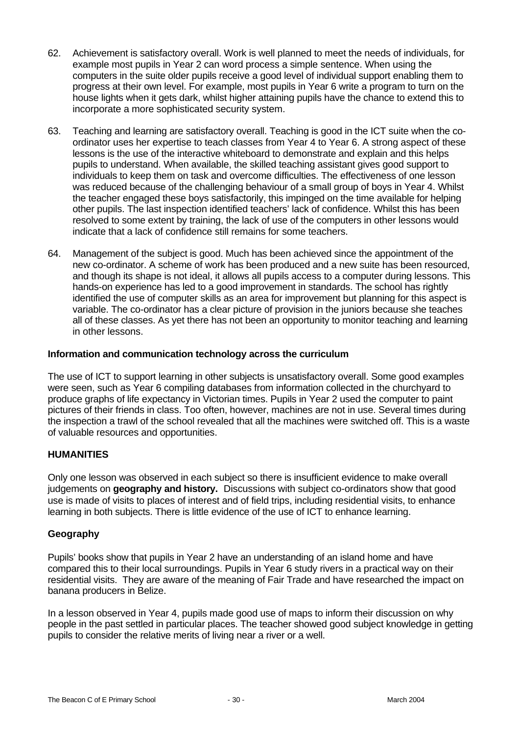- 62. Achievement is satisfactory overall. Work is well planned to meet the needs of individuals, for example most pupils in Year 2 can word process a simple sentence. When using the computers in the suite older pupils receive a good level of individual support enabling them to progress at their own level. For example, most pupils in Year 6 write a program to turn on the house lights when it gets dark, whilst higher attaining pupils have the chance to extend this to incorporate a more sophisticated security system.
- 63. Teaching and learning are satisfactory overall. Teaching is good in the ICT suite when the coordinator uses her expertise to teach classes from Year 4 to Year 6. A strong aspect of these lessons is the use of the interactive whiteboard to demonstrate and explain and this helps pupils to understand. When available, the skilled teaching assistant gives good support to individuals to keep them on task and overcome difficulties. The effectiveness of one lesson was reduced because of the challenging behaviour of a small group of boys in Year 4. Whilst the teacher engaged these boys satisfactorily, this impinged on the time available for helping other pupils. The last inspection identified teachers' lack of confidence. Whilst this has been resolved to some extent by training, the lack of use of the computers in other lessons would indicate that a lack of confidence still remains for some teachers.
- 64. Management of the subject is good. Much has been achieved since the appointment of the new co-ordinator. A scheme of work has been produced and a new suite has been resourced, and though its shape is not ideal, it allows all pupils access to a computer during lessons. This hands-on experience has led to a good improvement in standards. The school has rightly identified the use of computer skills as an area for improvement but planning for this aspect is variable. The co-ordinator has a clear picture of provision in the juniors because she teaches all of these classes. As yet there has not been an opportunity to monitor teaching and learning in other lessons.

## **Information and communication technology across the curriculum**

The use of ICT to support learning in other subjects is unsatisfactory overall. Some good examples were seen, such as Year 6 compiling databases from information collected in the churchyard to produce graphs of life expectancy in Victorian times. Pupils in Year 2 used the computer to paint pictures of their friends in class. Too often, however, machines are not in use. Several times during the inspection a trawl of the school revealed that all the machines were switched off. This is a waste of valuable resources and opportunities.

# **HUMANITIES**

Only one lesson was observed in each subject so there is insufficient evidence to make overall judgements on **geography and history.** Discussions with subject co-ordinators show that good use is made of visits to places of interest and of field trips, including residential visits, to enhance learning in both subjects. There is little evidence of the use of ICT to enhance learning.

## **Geography**

Pupils' books show that pupils in Year 2 have an understanding of an island home and have compared this to their local surroundings. Pupils in Year 6 study rivers in a practical way on their residential visits. They are aware of the meaning of Fair Trade and have researched the impact on banana producers in Belize.

In a lesson observed in Year 4, pupils made good use of maps to inform their discussion on why people in the past settled in particular places. The teacher showed good subject knowledge in getting pupils to consider the relative merits of living near a river or a well.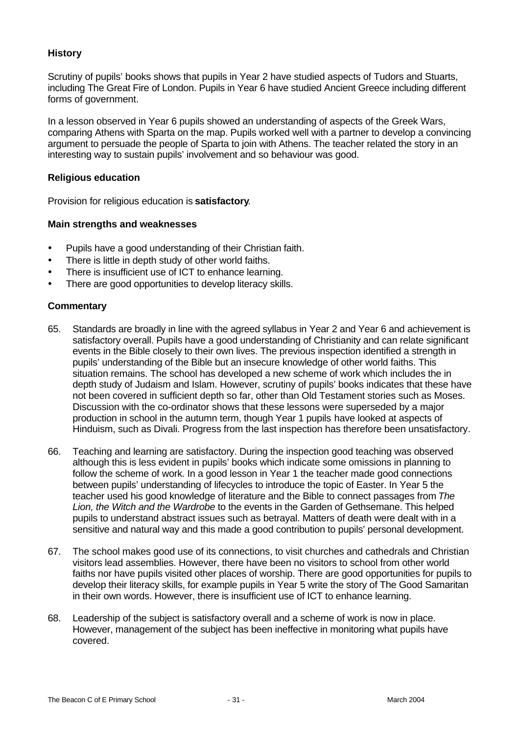## **History**

Scrutiny of pupils' books shows that pupils in Year 2 have studied aspects of Tudors and Stuarts, including The Great Fire of London. Pupils in Year 6 have studied Ancient Greece including different forms of government.

In a lesson observed in Year 6 pupils showed an understanding of aspects of the Greek Wars, comparing Athens with Sparta on the map. Pupils worked well with a partner to develop a convincing argument to persuade the people of Sparta to join with Athens. The teacher related the story in an interesting way to sustain pupils' involvement and so behaviour was good.

#### **Religious education**

Provision for religious education is **satisfactory**.

## **Main strengths and weaknesses**

- Pupils have a good understanding of their Christian faith.
- There is little in depth study of other world faiths.
- There is insufficient use of ICT to enhance learning.
- There are good opportunities to develop literacy skills.

#### **Commentary**

- 65. Standards are broadly in line with the agreed syllabus in Year 2 and Year 6 and achievement is satisfactory overall. Pupils have a good understanding of Christianity and can relate significant events in the Bible closely to their own lives. The previous inspection identified a strength in pupils' understanding of the Bible but an insecure knowledge of other world faiths. This situation remains. The school has developed a new scheme of work which includes the in depth study of Judaism and Islam. However, scrutiny of pupils' books indicates that these have not been covered in sufficient depth so far, other than Old Testament stories such as Moses. Discussion with the co-ordinator shows that these lessons were superseded by a major production in school in the autumn term, though Year 1 pupils have looked at aspects of Hinduism, such as Divali. Progress from the last inspection has therefore been unsatisfactory.
- 66. Teaching and learning are satisfactory. During the inspection good teaching was observed although this is less evident in pupils' books which indicate some omissions in planning to follow the scheme of work. In a good lesson in Year 1 the teacher made good connections between pupils' understanding of lifecycles to introduce the topic of Easter. In Year 5 the teacher used his good knowledge of literature and the Bible to connect passages from *The Lion, the Witch and the Wardrobe* to the events in the Garden of Gethsemane. This helped pupils to understand abstract issues such as betrayal. Matters of death were dealt with in a sensitive and natural way and this made a good contribution to pupils' personal development.
- 67. The school makes good use of its connections, to visit churches and cathedrals and Christian visitors lead assemblies. However, there have been no visitors to school from other world faiths nor have pupils visited other places of worship. There are good opportunities for pupils to develop their literacy skills, for example pupils in Year 5 write the story of The Good Samaritan in their own words. However, there is insufficient use of ICT to enhance learning.
- 68. Leadership of the subject is satisfactory overall and a scheme of work is now in place. However, management of the subject has been ineffective in monitoring what pupils have covered.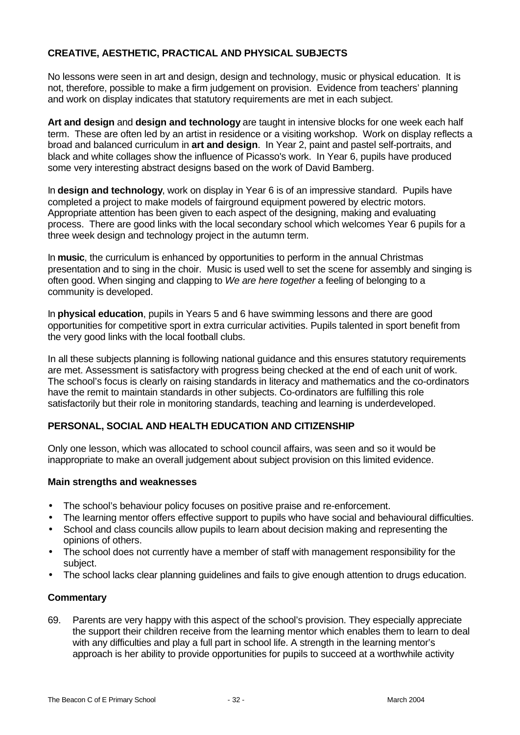# **CREATIVE, AESTHETIC, PRACTICAL AND PHYSICAL SUBJECTS**

No lessons were seen in art and design, design and technology, music or physical education. It is not, therefore, possible to make a firm judgement on provision. Evidence from teachers' planning and work on display indicates that statutory requirements are met in each subject.

**Art and design** and **design and technology** are taught in intensive blocks for one week each half term. These are often led by an artist in residence or a visiting workshop. Work on display reflects a broad and balanced curriculum in **art and design**. In Year 2, paint and pastel self-portraits, and black and white collages show the influence of Picasso's work. In Year 6, pupils have produced some very interesting abstract designs based on the work of David Bamberg.

In **design and technology**, work on display in Year 6 is of an impressive standard. Pupils have completed a project to make models of fairground equipment powered by electric motors. Appropriate attention has been given to each aspect of the designing, making and evaluating process. There are good links with the local secondary school which welcomes Year 6 pupils for a three week design and technology project in the autumn term.

In **music**, the curriculum is enhanced by opportunities to perform in the annual Christmas presentation and to sing in the choir. Music is used well to set the scene for assembly and singing is often good. When singing and clapping to *We are here together* a feeling of belonging to a community is developed.

In **physical education**, pupils in Years 5 and 6 have swimming lessons and there are good opportunities for competitive sport in extra curricular activities. Pupils talented in sport benefit from the very good links with the local football clubs.

In all these subjects planning is following national guidance and this ensures statutory requirements are met. Assessment is satisfactory with progress being checked at the end of each unit of work. The school's focus is clearly on raising standards in literacy and mathematics and the co-ordinators have the remit to maintain standards in other subjects. Co-ordinators are fulfilling this role satisfactorily but their role in monitoring standards, teaching and learning is underdeveloped.

# **PERSONAL, SOCIAL AND HEALTH EDUCATION AND CITIZENSHIP**

Only one lesson, which was allocated to school council affairs, was seen and so it would be inappropriate to make an overall judgement about subject provision on this limited evidence.

## **Main strengths and weaknesses**

- The school's behaviour policy focuses on positive praise and re-enforcement.
- The learning mentor offers effective support to pupils who have social and behavioural difficulties.
- School and class councils allow pupils to learn about decision making and representing the opinions of others.
- The school does not currently have a member of staff with management responsibility for the subject.
- The school lacks clear planning guidelines and fails to give enough attention to drugs education.

# **Commentary**

69. Parents are very happy with this aspect of the school's provision. They especially appreciate the support their children receive from the learning mentor which enables them to learn to deal with any difficulties and play a full part in school life. A strength in the learning mentor's approach is her ability to provide opportunities for pupils to succeed at a worthwhile activity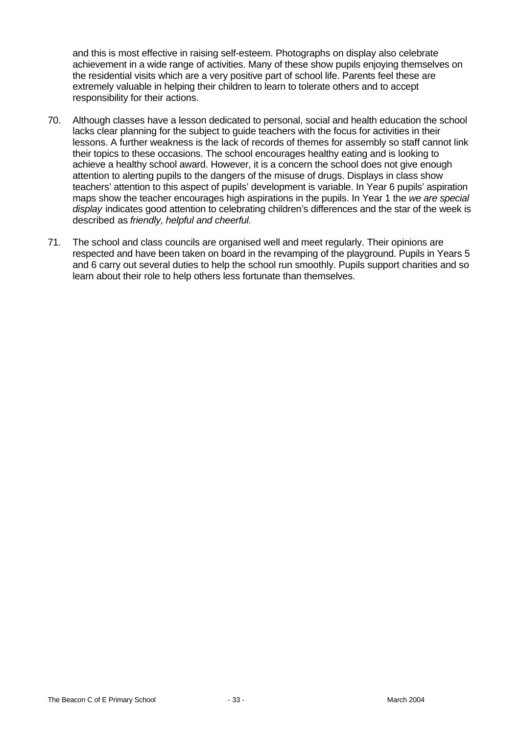and this is most effective in raising self-esteem. Photographs on display also celebrate achievement in a wide range of activities. Many of these show pupils enjoying themselves on the residential visits which are a very positive part of school life. Parents feel these are extremely valuable in helping their children to learn to tolerate others and to accept responsibility for their actions.

- 70. Although classes have a lesson dedicated to personal, social and health education the school lacks clear planning for the subject to guide teachers with the focus for activities in their lessons. A further weakness is the lack of records of themes for assembly so staff cannot link their topics to these occasions. The school encourages healthy eating and is looking to achieve a healthy school award. However, it is a concern the school does not give enough attention to alerting pupils to the dangers of the misuse of drugs. Displays in class show teachers' attention to this aspect of pupils' development is variable. In Year 6 pupils' aspiration maps show the teacher encourages high aspirations in the pupils. In Year 1 the *we are special display* indicates good attention to celebrating children's differences and the star of the week is described as *friendly, helpful and cheerful.*
- 71. The school and class councils are organised well and meet regularly. Their opinions are respected and have been taken on board in the revamping of the playground. Pupils in Years 5 and 6 carry out several duties to help the school run smoothly. Pupils support charities and so learn about their role to help others less fortunate than themselves.